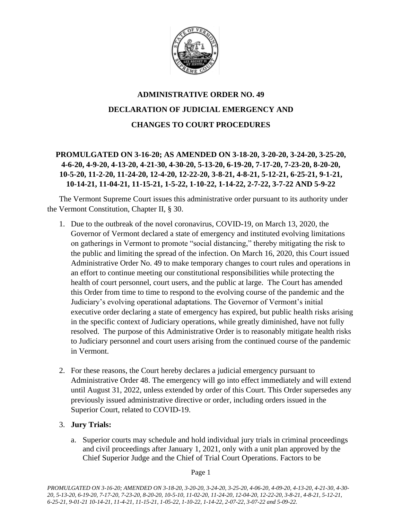

# **ADMINISTRATIVE ORDER NO. 49 DECLARATION OF JUDICIAL EMERGENCY AND CHANGES TO COURT PROCEDURES**

# **PROMULGATED ON 3-16-20; AS AMENDED ON 3-18-20, 3-20-20, 3-24-20, 3-25-20, 4-6-20, 4-9-20, 4-13-20, 4-21-30, 4-30-20, 5-13-20, 6-19-20, 7-17-20, 7-23-20, 8-20-20, 10-5-20, 11-2-20, 11-24-20, 12-4-20, 12-22-20, 3-8-21, 4-8-21, 5-12-21, 6-25-21, 9-1-21, 10-14-21, 11-04-21, 11-15-21, 1-5-22, 1-10-22, 1-14-22, 2-7-22, 3-7-22 AND 5-9-22**

The Vermont Supreme Court issues this administrative order pursuant to its authority under the Vermont Constitution, Chapter II, § 30.

- 1. Due to the outbreak of the novel coronavirus, COVID-19, on March 13, 2020, the Governor of Vermont declared a state of emergency and instituted evolving limitations on gatherings in Vermont to promote "social distancing," thereby mitigating the risk to the public and limiting the spread of the infection. On March 16, 2020, this Court issued Administrative Order No. 49 to make temporary changes to court rules and operations in an effort to continue meeting our constitutional responsibilities while protecting the health of court personnel, court users, and the public at large. The Court has amended this Order from time to time to respond to the evolving course of the pandemic and the Judiciary's evolving operational adaptations. The Governor of Vermont's initial executive order declaring a state of emergency has expired, but public health risks arising in the specific context of Judiciary operations, while greatly diminished, have not fully resolved. The purpose of this Administrative Order is to reasonably mitigate health risks to Judiciary personnel and court users arising from the continued course of the pandemic in Vermont.
- 2. For these reasons, the Court hereby declares a judicial emergency pursuant to Administrative Order 48. The emergency will go into effect immediately and will extend until August 31, 2022, unless extended by order of this Court. This Order supersedes any previously issued administrative directive or order, including orders issued in the Superior Court, related to COVID-19.

# 3. **Jury Trials:**

a. Superior courts may schedule and hold individual jury trials in criminal proceedings and civil proceedings after January 1, 2021, only with a unit plan approved by the Chief Superior Judge and the Chief of Trial Court Operations. Factors to be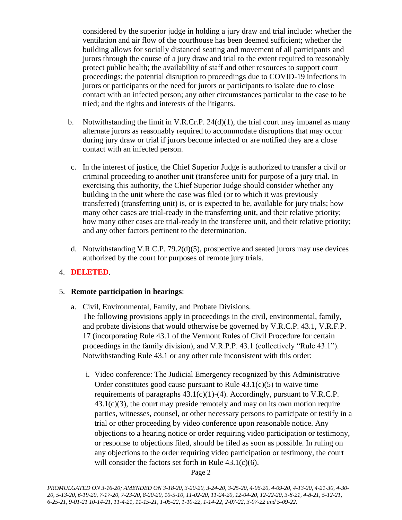considered by the superior judge in holding a jury draw and trial include: whether the ventilation and air flow of the courthouse has been deemed sufficient; whether the building allows for socially distanced seating and movement of all participants and jurors through the course of a jury draw and trial to the extent required to reasonably protect public health; the availability of staff and other resources to support court proceedings; the potential disruption to proceedings due to COVID-19 infections in jurors or participants or the need for jurors or participants to isolate due to close contact with an infected person; any other circumstances particular to the case to be tried; and the rights and interests of the litigants.

- b. Notwithstanding the limit in V.R.Cr.P. 24(d)(1), the trial court may impanel as many alternate jurors as reasonably required to accommodate disruptions that may occur during jury draw or trial if jurors become infected or are notified they are a close contact with an infected person.
- c. In the interest of justice, the Chief Superior Judge is authorized to transfer a civil or criminal proceeding to another unit (transferee unit) for purpose of a jury trial. In exercising this authority, the Chief Superior Judge should consider whether any building in the unit where the case was filed (or to which it was previously transferred) (transferring unit) is, or is expected to be, available for jury trials; how many other cases are trial-ready in the transferring unit, and their relative priority; how many other cases are trial-ready in the transferee unit, and their relative priority; and any other factors pertinent to the determination.
- d. Notwithstanding V.R.C.P. 79.2(d)(5), prospective and seated jurors may use devices authorized by the court for purposes of remote jury trials.

# 4. **DELETED**.

### 5. **Remote participation in hearings**:

- a. Civil, Environmental, Family, and Probate Divisions. The following provisions apply in proceedings in the civil, environmental, family, and probate divisions that would otherwise be governed by V.R.C.P. 43.1, V.R.F.P. 17 (incorporating Rule 43.1 of the Vermont Rules of Civil Procedure for certain proceedings in the family division), and V.R.P.P. 43.1 (collectively "Rule 43.1"). Notwithstanding Rule 43.1 or any other rule inconsistent with this order:
	- i. Video conference: The Judicial Emergency recognized by this Administrative Order constitutes good cause pursuant to Rule  $43.1(c)(5)$  to waive time requirements of paragraphs  $43.1(c)(1)-(4)$ . Accordingly, pursuant to V.R.C.P.  $43.1(c)(3)$ , the court may preside remotely and may on its own motion require parties, witnesses, counsel, or other necessary persons to participate or testify in a trial or other proceeding by video conference upon reasonable notice. Any objections to a hearing notice or order requiring video participation or testimony, or response to objections filed, should be filed as soon as possible. In ruling on any objections to the order requiring video participation or testimony, the court will consider the factors set forth in Rule 43.1(c)(6).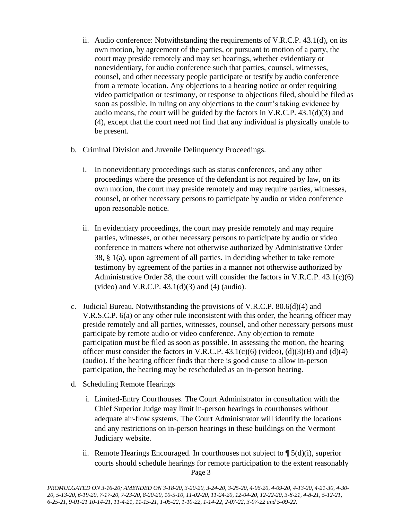- ii. Audio conference: Notwithstanding the requirements of V.R.C.P. 43.1(d), on its own motion, by agreement of the parties, or pursuant to motion of a party, the court may preside remotely and may set hearings, whether evidentiary or nonevidentiary, for audio conference such that parties, counsel, witnesses, counsel, and other necessary people participate or testify by audio conference from a remote location. Any objections to a hearing notice or order requiring video participation or testimony, or response to objections filed, should be filed as soon as possible. In ruling on any objections to the court's taking evidence by audio means, the court will be guided by the factors in V.R.C.P. 43.1(d)(3) and (4), except that the court need not find that any individual is physically unable to be present.
- b. Criminal Division and Juvenile Delinquency Proceedings.
	- i. In nonevidentiary proceedings such as status conferences, and any other proceedings where the presence of the defendant is not required by law, on its own motion, the court may preside remotely and may require parties, witnesses, counsel, or other necessary persons to participate by audio or video conference upon reasonable notice.
	- ii. In evidentiary proceedings, the court may preside remotely and may require parties, witnesses, or other necessary persons to participate by audio or video conference in matters where not otherwise authorized by Administrative Order 38, § 1(a), upon agreement of all parties. In deciding whether to take remote testimony by agreement of the parties in a manner not otherwise authorized by Administrative Order 38, the court will consider the factors in V.R.C.P.  $43.1(c)(6)$ (video) and V.R.C.P.  $43.1(d)(3)$  and  $(4)$  (audio).
- c. Judicial Bureau. Notwithstanding the provisions of V.R.C.P. 80.6(d)(4) and V.R.S.C.P. 6(a) or any other rule inconsistent with this order, the hearing officer may preside remotely and all parties, witnesses, counsel, and other necessary persons must participate by remote audio or video conference. Any objection to remote participation must be filed as soon as possible. In assessing the motion, the hearing officer must consider the factors in V.R.C.P.  $43.1(c)(6)$  (video), (d)(3)(B) and (d)(4) (audio). If the hearing officer finds that there is good cause to allow in-person participation, the hearing may be rescheduled as an in-person hearing.
- d. Scheduling Remote Hearings
	- i. Limited-Entry Courthouses. The Court Administrator in consultation with the Chief Superior Judge may limit in-person hearings in courthouses without adequate air-flow systems. The Court Administrator will identify the locations and any restrictions on in-person hearings in these buildings on the Vermont Judiciary website.
	- Page 3 ii. Remote Hearings Encouraged. In courthouses not subject to ¶ 5(d)(i), superior courts should schedule hearings for remote participation to the extent reasonably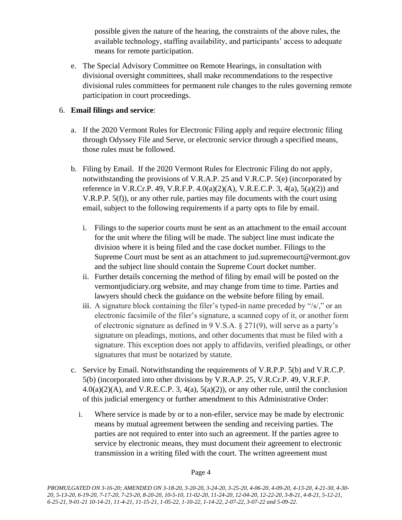possible given the nature of the hearing, the constraints of the above rules, the available technology, staffing availability, and participants' access to adequate means for remote participation.

e. The Special Advisory Committee on Remote Hearings, in consultation with divisional oversight committees, shall make recommendations to the respective divisional rules committees for permanent rule changes to the rules governing remote participation in court proceedings.

# 6. **Email filings and service**:

- a. If the 2020 Vermont Rules for Electronic Filing apply and require electronic filing through Odyssey File and Serve, or electronic service through a specified means, those rules must be followed.
- b. Filing by Email. If the 2020 Vermont Rules for Electronic Filing do not apply, notwithstanding the provisions of V.R.A.P. 25 and V.R.C.P. 5(e) (incorporated by reference in V.R.Cr.P. 49, V.R.F.P.  $4.0(a)(2)(A)$ , V.R.E.C.P. 3,  $4(a)$ ,  $5(a)(2)$  and V.R.P.P. 5(f)), or any other rule, parties may file documents with the court using email, subject to the following requirements if a party opts to file by email.
	- i. Filings to the superior courts must be sent as an attachment to the email account for the unit where the filing will be made. The subject line must indicate the division where it is being filed and the case docket number. Filings to the Supreme Court must be sent as an attachment to jud.supremecourt@vermont.gov and the subject line should contain the Supreme Court docket number.
	- ii. Further details concerning the method of filing by email will be posted on the vermontjudiciary.org website, and may change from time to time. Parties and lawyers should check the guidance on the website before filing by email.
	- iii. A signature block containing the filer's typed-in name preceded by "/s/," or an electronic facsimile of the filer's signature, a scanned copy of it, or another form of electronic signature as defined in 9 V.S.A. § 271(9), will serve as a party's signature on pleadings, motions, and other documents that must be filed with a signature. This exception does not apply to affidavits, verified pleadings, or other signatures that must be notarized by statute.
- c. Service by Email. Notwithstanding the requirements of V.R.P.P. 5(b) and V.R.C.P. 5(b) (incorporated into other divisions by V.R.A.P. 25, V.R.Cr.P. 49, V.R.F.P.  $4.0(a)(2)(A)$ , and V.R.E.C.P. 3,  $4(a)$ ,  $5(a)(2)$ ), or any other rule, until the conclusion of this judicial emergency or further amendment to this Administrative Order:
	- i. Where service is made by or to a non-efiler, service may be made by electronic means by mutual agreement between the sending and receiving parties. The parties are not required to enter into such an agreement. If the parties agree to service by electronic means, they must document their agreement to electronic transmission in a writing filed with the court. The written agreement must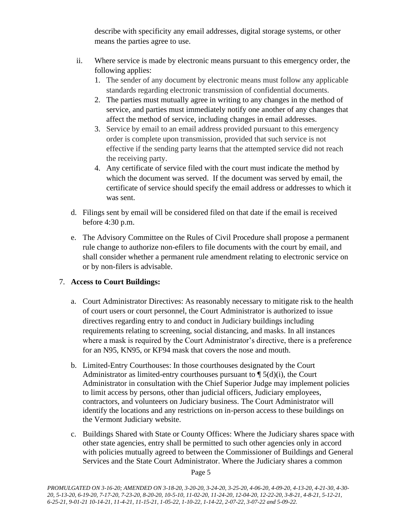describe with specificity any email addresses, digital storage systems, or other means the parties agree to use.

- ii. Where service is made by electronic means pursuant to this emergency order, the following applies:
	- 1. The sender of any document by electronic means must follow any applicable standards regarding electronic transmission of confidential documents.
	- 2. The parties must mutually agree in writing to any changes in the method of service, and parties must immediately notify one another of any changes that affect the method of service, including changes in email addresses.
	- 3. Service by email to an email address provided pursuant to this emergency order is complete upon transmission, provided that such service is not effective if the sending party learns that the attempted service did not reach the receiving party.
	- 4. Any certificate of service filed with the court must indicate the method by which the document was served. If the document was served by email, the certificate of service should specify the email address or addresses to which it was sent.
- d. Filings sent by email will be considered filed on that date if the email is received before 4:30 p.m.
- e. The Advisory Committee on the Rules of Civil Procedure shall propose a permanent rule change to authorize non-efilers to file documents with the court by email, and shall consider whether a permanent rule amendment relating to electronic service on or by non-filers is advisable.

# 7. **Access to Court Buildings:**

- a. Court Administrator Directives: As reasonably necessary to mitigate risk to the health of court users or court personnel, the Court Administrator is authorized to issue directives regarding entry to and conduct in Judiciary buildings including requirements relating to screening, social distancing, and masks. In all instances where a mask is required by the Court Administrator's directive, there is a preference for an N95, KN95, or KF94 mask that covers the nose and mouth.
- b. Limited-Entry Courthouses: In those courthouses designated by the Court Administrator as limited-entry courthouses pursuant to  $\P$  5(d)(i), the Court Administrator in consultation with the Chief Superior Judge may implement policies to limit access by persons, other than judicial officers, Judiciary employees, contractors, and volunteers on Judiciary business. The Court Administrator will identify the locations and any restrictions on in-person access to these buildings on the Vermont Judiciary website.
- c. Buildings Shared with State or County Offices: Where the Judiciary shares space with other state agencies, entry shall be permitted to such other agencies only in accord with policies mutually agreed to between the Commissioner of Buildings and General Services and the State Court Administrator. Where the Judiciary shares a common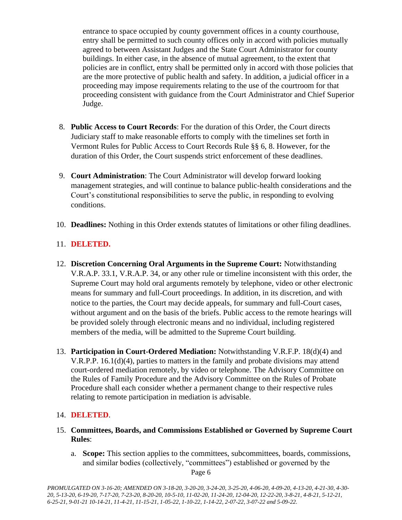entrance to space occupied by county government offices in a county courthouse, entry shall be permitted to such county offices only in accord with policies mutually agreed to between Assistant Judges and the State Court Administrator for county buildings. In either case, in the absence of mutual agreement, to the extent that policies are in conflict, entry shall be permitted only in accord with those policies that are the more protective of public health and safety. In addition, a judicial officer in a proceeding may impose requirements relating to the use of the courtroom for that proceeding consistent with guidance from the Court Administrator and Chief Superior Judge.

- 8. **Public Access to Court Records**: For the duration of this Order, the Court directs Judiciary staff to make reasonable efforts to comply with the timelines set forth in Vermont Rules for Public Access to Court Records Rule §§ 6, 8. However, for the duration of this Order, the Court suspends strict enforcement of these deadlines.
- 9. **Court Administration**: The Court Administrator will develop forward looking management strategies, and will continue to balance public-health considerations and the Court's constitutional responsibilities to serve the public, in responding to evolving conditions.
- 10. **Deadlines:** Nothing in this Order extends statutes of limitations or other filing deadlines.

# 11. **DELETED.**

- 12. **Discretion Concerning Oral Arguments in the Supreme Court:** Notwithstanding V.R.A.P. 33.1, V.R.A.P. 34, or any other rule or timeline inconsistent with this order, the Supreme Court may hold oral arguments remotely by telephone, video or other electronic means for summary and full-Court proceedings. In addition, in its discretion, and with notice to the parties, the Court may decide appeals, for summary and full-Court cases, without argument and on the basis of the briefs. Public access to the remote hearings will be provided solely through electronic means and no individual, including registered members of the media, will be admitted to the Supreme Court building.
- 13. **Participation in Court-Ordered Mediation:** Notwithstanding V.R.F.P. 18(d)(4) and V.R.P.P. 16.1(d)(4), parties to matters in the family and probate divisions may attend court-ordered mediation remotely, by video or telephone. The Advisory Committee on the Rules of Family Procedure and the Advisory Committee on the Rules of Probate Procedure shall each consider whether a permanent change to their respective rules relating to remote participation in mediation is advisable.

# 14. **DELETED**.

- 15. **Committees, Boards, and Commissions Established or Governed by Supreme Court Rules**:
	- a. **Scope:** This section applies to the committees, subcommittees, boards, commissions, and similar bodies (collectively, "committees") established or governed by the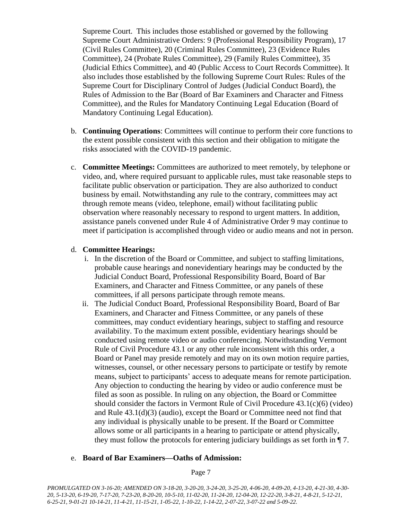Supreme Court. This includes those established or governed by the following Supreme Court Administrative Orders: 9 (Professional Responsibility Program), 17 (Civil Rules Committee), 20 (Criminal Rules Committee), 23 (Evidence Rules Committee), 24 (Probate Rules Committee), 29 (Family Rules Committee), 35 (Judicial Ethics Committee), and 40 (Public Access to Court Records Committee). It also includes those established by the following Supreme Court Rules: Rules of the Supreme Court for Disciplinary Control of Judges (Judicial Conduct Board), the Rules of Admission to the Bar (Board of Bar Examiners and Character and Fitness Committee), and the Rules for Mandatory Continuing Legal Education (Board of Mandatory Continuing Legal Education).

- b. **Continuing Operations**: Committees will continue to perform their core functions to the extent possible consistent with this section and their obligation to mitigate the risks associated with the COVID-19 pandemic.
- c. **Committee Meetings:** Committees are authorized to meet remotely, by telephone or video, and, where required pursuant to applicable rules, must take reasonable steps to facilitate public observation or participation. They are also authorized to conduct business by email. Notwithstanding any rule to the contrary, committees may act through remote means (video, telephone, email) without facilitating public observation where reasonably necessary to respond to urgent matters. In addition, assistance panels convened under Rule 4 of Administrative Order 9 may continue to meet if participation is accomplished through video or audio means and not in person.

### d. **Committee Hearings:**

- i. In the discretion of the Board or Committee, and subject to staffing limitations, probable cause hearings and nonevidentiary hearings may be conducted by the Judicial Conduct Board, Professional Responsibility Board, Board of Bar Examiners, and Character and Fitness Committee, or any panels of these committees, if all persons participate through remote means.
- ii. The Judicial Conduct Board, Professional Responsibility Board, Board of Bar Examiners, and Character and Fitness Committee, or any panels of these committees, may conduct evidentiary hearings, subject to staffing and resource availability. To the maximum extent possible, evidentiary hearings should be conducted using remote video or audio conferencing. Notwithstanding Vermont Rule of Civil Procedure 43.1 or any other rule inconsistent with this order, a Board or Panel may preside remotely and may on its own motion require parties, witnesses, counsel, or other necessary persons to participate or testify by remote means, subject to participants' access to adequate means for remote participation. Any objection to conducting the hearing by video or audio conference must be filed as soon as possible. In ruling on any objection, the Board or Committee should consider the factors in Vermont Rule of Civil Procedure  $43.1(c)(6)$  (video) and Rule 43.1(d)(3) (audio), except the Board or Committee need not find that any individual is physically unable to be present. If the Board or Committee allows some or all participants in a hearing to participate or attend physically, they must follow the protocols for entering judiciary buildings as set forth in ¶ 7.

### e. **Board of Bar Examiners—Oaths of Admission:**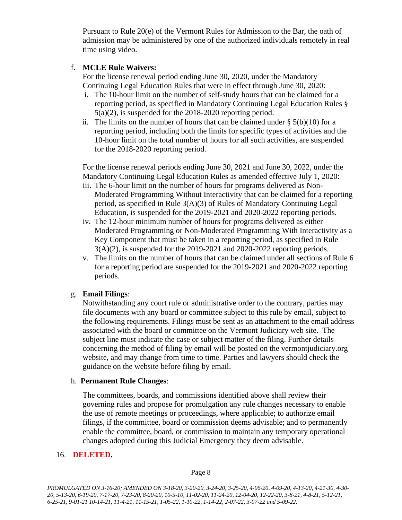Pursuant to Rule 20(e) of the Vermont Rules for Admission to the Bar, the oath of admission may be administered by one of the authorized individuals remotely in real time using video.

# f. **MCLE Rule Waivers:**

For the license renewal period ending June 30, 2020, under the Mandatory Continuing Legal Education Rules that were in effect through June 30, 2020:

- i. The 10-hour limit on the number of self-study hours that can be claimed for a reporting period, as specified in Mandatory Continuing Legal Education Rules § 5(a)(2), is suspended for the 2018-2020 reporting period.
- ii. The limits on the number of hours that can be claimed under  $\S$  5(b)(10) for a reporting period, including both the limits for specific types of activities and the 10-hour limit on the total number of hours for all such activities, are suspended for the 2018-2020 reporting period.

For the license renewal periods ending June 30, 2021 and June 30, 2022, under the Mandatory Continuing Legal Education Rules as amended effective July 1, 2020:

- iii. The 6-hour limit on the number of hours for programs delivered as Non-Moderated Programming Without Interactivity that can be claimed for a reporting period, as specified in Rule 3(A)(3) of Rules of Mandatory Continuing Legal Education, is suspended for the 2019-2021 and 2020-2022 reporting periods.
- iv. The 12-hour minimum number of hours for programs delivered as either Moderated Programming or Non-Moderated Programming With Interactivity as a Key Component that must be taken in a reporting period, as specified in Rule  $3(A)(2)$ , is suspended for the 2019-2021 and 2020-2022 reporting periods.
- v. The limits on the number of hours that can be claimed under all sections of Rule 6 for a reporting period are suspended for the 2019-2021 and 2020-2022 reporting periods.

# g. **Email Filings**:

Notwithstanding any court rule or administrative order to the contrary, parties may file documents with any board or committee subject to this rule by email, subject to the following requirements. Filings must be sent as an attachment to the email address associated with the board or committee on the Vermont Judiciary web site. The subject line must indicate the case or subject matter of the filing. Further details concerning the method of filing by email will be posted on the vermontjudiciary.org website, and may change from time to time. Parties and lawyers should check the guidance on the website before filing by email.

### h. **Permanent Rule Changes**:

The committees, boards, and commissions identified above shall review their governing rules and propose for promulgation any rule changes necessary to enable the use of remote meetings or proceedings, where applicable; to authorize email filings, if the committee, board or commission deems advisable; and to permanently enable the committee, board, or commission to maintain any temporary operational changes adopted during this Judicial Emergency they deem advisable.

# 16. **DELETED.**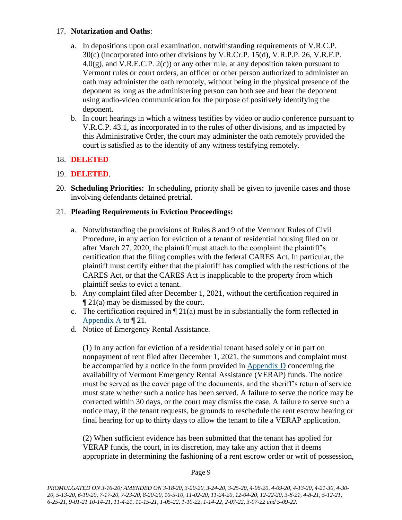# 17. **Notarization and Oaths**:

- a. In depositions upon oral examination, notwithstanding requirements of V.R.C.P. 30(c) (incorporated into other divisions by V.R.Cr.P. 15(d), V.R.P.P. 26, V.R.F.P.  $4.0(g)$ , and V.R.E.C.P.  $2(c)$  or any other rule, at any deposition taken pursuant to Vermont rules or court orders, an officer or other person authorized to administer an oath may administer the oath remotely, without being in the physical presence of the deponent as long as the administering person can both see and hear the deponent using audio-video communication for the purpose of positively identifying the deponent.
- b. In court hearings in which a witness testifies by video or audio conference pursuant to V.R.C.P. 43.1, as incorporated in to the rules of other divisions, and as impacted by this Administrative Order, the court may administer the oath remotely provided the court is satisfied as to the identity of any witness testifying remotely.

# 18. **DELETED**

# 19. **DELETED**.

20. **Scheduling Priorities:** In scheduling, priority shall be given to juvenile cases and those involving defendants detained pretrial.

# 21. **Pleading Requirements in Eviction Proceedings:**

- a. Notwithstanding the provisions of Rules 8 and 9 of the Vermont Rules of Civil Procedure, in any action for eviction of a tenant of residential housing filed on or after March 27, 2020, the plaintiff must attach to the complaint the plaintiff's certification that the filing complies with the federal CARES Act. In particular, the plaintiff must certify either that the plaintiff has complied with the restrictions of the CARES Act, or that the CARES Act is inapplicable to the property from which plaintiff seeks to evict a tenant.
- b. Any complaint filed after December 1, 2021, without the certification required in ¶ 21(a) may be dismissed by the court.
- c. The certification required in  $\P$  21(a) must be in substantially the form reflected in [Appendix A](https://www.vermontjudiciary.org/sites/default/files/documents/Appendix%20A_1.pdf) to  $\P$  21.
- d. Notice of Emergency Rental Assistance.

(1) In any action for eviction of a residential tenant based solely or in part on nonpayment of rent filed after December 1, 2021, the summons and complaint must be accompanied by a notice in the form provided in [Appendix D](https://www.vermontjudiciary.org/sites/default/files/documents/Appendix-D-Important-Notice-to-Tenants_0.pdf) concerning the availability of Vermont Emergency Rental Assistance (VERAP) funds. The notice must be served as the cover page of the documents, and the sheriff's return of service must state whether such a notice has been served. A failure to serve the notice may be corrected within 30 days, or the court may dismiss the case. A failure to serve such a notice may, if the tenant requests, be grounds to reschedule the rent escrow hearing or final hearing for up to thirty days to allow the tenant to file a VERAP application.

(2) When sufficient evidence has been submitted that the tenant has applied for VERAP funds, the court, in its discretion, may take any action that it deems appropriate in determining the fashioning of a rent escrow order or writ of possession,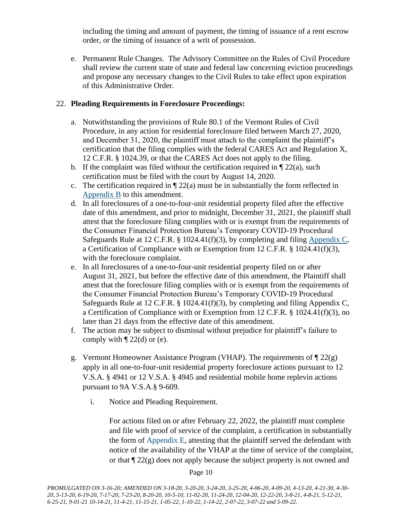including the timing and amount of payment, the timing of issuance of a rent escrow order, or the timing of issuance of a writ of possession.

e. Permanent Rule Changes. The Advisory Committee on the Rules of Civil Procedure shall review the current state of state and federal law concerning eviction proceedings and propose any necessary changes to the Civil Rules to take effect upon expiration of this Administrative Order.

# 22. **Pleading Requirements in Foreclosure Proceedings:**

- a. Notwithstanding the provisions of Rule 80.1 of the Vermont Rules of Civil Procedure, in any action for residential foreclosure filed between March 27, 2020, and December 31, 2020, the plaintiff must attach to the complaint the plaintiff's certification that the filing complies with the federal CARES Act and Regulation X, 12 C.F.R. § 1024.39, or that the CARES Act does not apply to the filing.
- b. If the complaint was filed without the certification required in  $\P$  22(a), such certification must be filed with the court by August 14, 2020.
- c. The certification required in  $\P$  22(a) must be in substantially the form reflected in [Appendix B](https://www.vermontjudiciary.org/sites/default/files/documents/Appendix%20B.pdf) to this amendment.
- d. In all foreclosures of a one-to-four-unit residential property filed after the effective date of this amendment, and prior to midnight, December 31, 2021, the plaintiff shall attest that the foreclosure filing complies with or is exempt from the requirements of the Consumer Financial Protection Bureau's Temporary COVID-19 Procedural Safeguards Rule at 12 C.F.R. § 1024.41(f)(3), by completing and filing [Appendix C,](https://www.vermontjudiciary.org/sites/default/files/documents/APPENDIX%20C%20-%20Certification%20of%20Compliance%20or%20Exemption%20from%2012%20C.F.R.%20%C2%A7%201024.41%28f%29%283%29.pdf) a Certification of Compliance with or Exemption from 12 C.F.R. § 1024.41(f)(3), with the foreclosure complaint.
- e. In all foreclosures of a one-to-four-unit residential property filed on or after August 31, 2021, but before the effective date of this amendment, the Plaintiff shall attest that the foreclosure filing complies with or is exempt from the requirements of the Consumer Financial Protection Bureau's Temporary COVID-19 Procedural Safeguards Rule at 12 C.F.R. § 1024.41(f)(3), by completing and filing Appendix C, a Certification of Compliance with or Exemption from 12 C.F.R. § 1024.41(f)(3), no later than 21 days from the effective date of this amendment.
- f. The action may be subject to dismissal without prejudice for plaintiff's failure to comply with  $\P$  22(d) or (e).
- g. Vermont Homeowner Assistance Program (VHAP). The requirements of  $\P$  22(g) apply in all one-to-four-unit residential property foreclosure actions pursuant to 12 V.S.A. § 4941 or 12 V.S.A. § 4945 and residential mobile home replevin actions pursuant to 9A V.S.A.§ 9-609.
	- i. Notice and Pleading Requirement.

For actions filed on or after February 22, 2022, the plaintiff must complete and file with proof of service of the complaint, a certification in substantially the form of [Appendix E,](https://www.vermontjudiciary.org/sites/default/files/documents/APPENDIX-E-Certification-of-Compliance-with-or-Exemption-from-AO49-22g.pdf) attesting that the plaintiff served the defendant with notice of the availability of the VHAP at the time of service of the complaint, or that  $\sqrt{22(g)}$  does not apply because the subject property is not owned and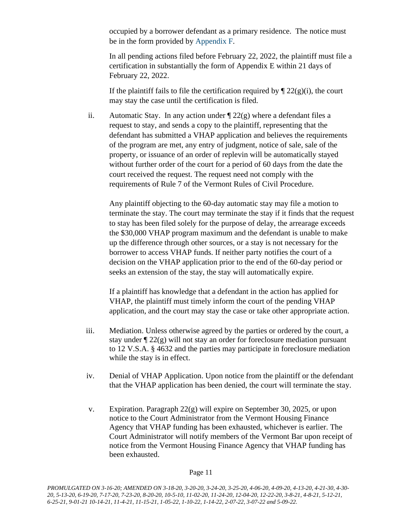occupied by a borrower defendant as a primary residence. The notice must be in the form provided by [Appendix F.](https://www.vermontjudiciary.org/sites/default/files/documents/APPENDIX-F-Notice-to-Homeowner-re_VHAP.pdf)

In all pending actions filed before February 22, 2022, the plaintiff must file a certification in substantially the form of Appendix E within 21 days of February 22, 2022.

If the plaintiff fails to file the certification required by  $\P$  22(g)(i), the court may stay the case until the certification is filed.

ii. Automatic Stay. In any action under  $\sqrt{22(g)}$  where a defendant files a request to stay, and sends a copy to the plaintiff, representing that the defendant has submitted a VHAP application and believes the requirements of the program are met, any entry of judgment, notice of sale, sale of the property, or issuance of an order of replevin will be automatically stayed without further order of the court for a period of 60 days from the date the court received the request. The request need not comply with the requirements of Rule 7 of the Vermont Rules of Civil Procedure.

Any plaintiff objecting to the 60-day automatic stay may file a motion to terminate the stay. The court may terminate the stay if it finds that the request to stay has been filed solely for the purpose of delay, the arrearage exceeds the \$30,000 VHAP program maximum and the defendant is unable to make up the difference through other sources, or a stay is not necessary for the borrower to access VHAP funds. If neither party notifies the court of a decision on the VHAP application prior to the end of the 60-day period or seeks an extension of the stay, the stay will automatically expire.

If a plaintiff has knowledge that a defendant in the action has applied for VHAP, the plaintiff must timely inform the court of the pending VHAP application, and the court may stay the case or take other appropriate action.

- iii. Mediation. Unless otherwise agreed by the parties or ordered by the court, a stay under  $\sqrt{\frac{22(g)}{g}}$  will not stay an order for foreclosure mediation pursuant to 12 V.S.A. § 4632 and the parties may participate in foreclosure mediation while the stay is in effect.
- iv. Denial of VHAP Application. Upon notice from the plaintiff or the defendant that the VHAP application has been denied, the court will terminate the stay.
- v. Expiration. Paragraph  $22(g)$  will expire on September 30, 2025, or upon notice to the Court Administrator from the Vermont Housing Finance Agency that VHAP funding has been exhausted, whichever is earlier. The Court Administrator will notify members of the Vermont Bar upon receipt of notice from the Vermont Housing Finance Agency that VHAP funding has been exhausted.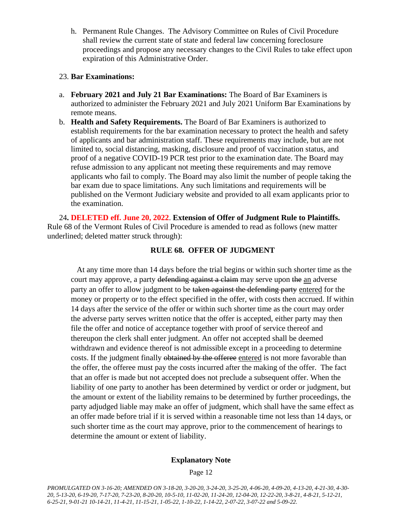h. Permanent Rule Changes. The Advisory Committee on Rules of Civil Procedure shall review the current state of state and federal law concerning foreclosure proceedings and propose any necessary changes to the Civil Rules to take effect upon expiration of this Administrative Order.

# 23. **Bar Examinations:**

- a. **February 2021 and July 21 Bar Examinations:** The Board of Bar Examiners is authorized to administer the February 2021 and July 2021 Uniform Bar Examinations by remote means.
- b. **Health and Safety Requirements.** The Board of Bar Examiners is authorized to establish requirements for the bar examination necessary to protect the health and safety of applicants and bar administration staff. These requirements may include, but are not limited to, social distancing, masking, disclosure and proof of vaccination status, and proof of a negative COVID-19 PCR test prior to the examination date. The Board may refuse admission to any applicant not meeting these requirements and may remove applicants who fail to comply. The Board may also limit the number of people taking the bar exam due to space limitations. Any such limitations and requirements will be published on the Vermont Judiciary website and provided to all exam applicants prior to the examination.

24**. DELETED eff. June 20, 2022**. **Extension of Offer of Judgment Rule to Plaintiffs.**  Rule 68 of the Vermont Rules of Civil Procedure is amended to read as follows (new matter underlined; deleted matter struck through):

# **RULE 68. OFFER OF JUDGMENT**

At any time more than 14 days before the trial begins or within such shorter time as the court may approve, a party defending against a claim may serve upon the an adverse party an offer to allow judgment to be taken against the defending party entered for the money or property or to the effect specified in the offer, with costs then accrued. If within 14 days after the service of the offer or within such shorter time as the court may order the adverse party serves written notice that the offer is accepted, either party may then file the offer and notice of acceptance together with proof of service thereof and thereupon the clerk shall enter judgment. An offer not accepted shall be deemed withdrawn and evidence thereof is not admissible except in a proceeding to determine costs. If the judgment finally obtained by the offeree entered is not more favorable than the offer, the offeree must pay the costs incurred after the making of the offer. The fact that an offer is made but not accepted does not preclude a subsequent offer. When the liability of one party to another has been determined by verdict or order or judgment, but the amount or extent of the liability remains to be determined by further proceedings, the party adjudged liable may make an offer of judgment, which shall have the same effect as an offer made before trial if it is served within a reasonable time not less than 14 days, or such shorter time as the court may approve, prior to the commencement of hearings to determine the amount or extent of liability.

# **Explanatory Note**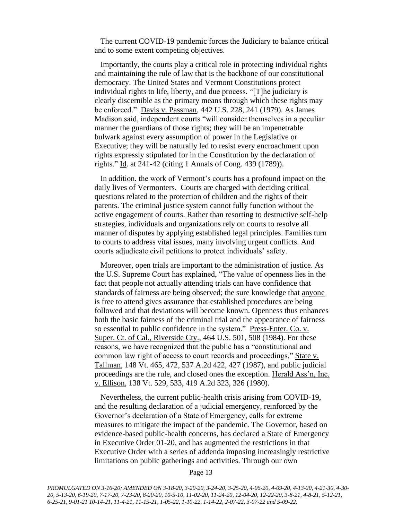The current COVID-19 pandemic forces the Judiciary to balance critical and to some extent competing objectives.

Importantly, the courts play a critical role in protecting individual rights and maintaining the rule of law that is the backbone of our constitutional democracy. The United States and Vermont Constitutions protect individual rights to life, liberty, and due process. "[T]he judiciary is clearly discernible as the primary means through which these rights may be enforced." Davis v. Passman, 442 U.S. 228, 241 (1979). As James Madison said, independent courts "will consider themselves in a peculiar manner the guardians of those rights; they will be an impenetrable bulwark against every assumption of power in the Legislative or Executive; they will be naturally led to resist every encroachment upon rights expressly stipulated for in the Constitution by the declaration of rights." Id. at 241-42 (citing 1 Annals of Cong. 439 (1789)).

In addition, the work of Vermont's courts has a profound impact on the daily lives of Vermonters. Courts are charged with deciding critical questions related to the protection of children and the rights of their parents. The criminal justice system cannot fully function without the active engagement of courts. Rather than resorting to destructive self-help strategies, individuals and organizations rely on courts to resolve all manner of disputes by applying established legal principles. Families turn to courts to address vital issues, many involving urgent conflicts. And courts adjudicate civil petitions to protect individuals' safety.

Moreover, open trials are important to the administration of justice. As the U.S. Supreme Court has explained, "The value of openness lies in the fact that people not actually attending trials can have confidence that standards of fairness are being observed; the sure knowledge that anyone is free to attend gives assurance that established procedures are being followed and that deviations will become known. Openness thus enhances both the basic fairness of the criminal trial and the appearance of fairness so essential to public confidence in the system." Press-Enter. Co. v. Super. Ct. of Cal., Riverside Cty., 464 U.S. 501, 508 (1984). For these reasons, we have recognized that the public has a "constitutional and common law right of access to court records and proceedings," State v. Tallman, 148 Vt. 465, 472, 537 A.2d 422, 427 (1987), and public judicial proceedings are the rule, and closed ones the exception. Herald Ass'n, Inc. v. Ellison, 138 Vt. 529, 533, 419 A.2d 323, 326 (1980).

Nevertheless, the current public-health crisis arising from COVID-19, and the resulting declaration of a judicial emergency, reinforced by the Governor's declaration of a State of Emergency, calls for extreme measures to mitigate the impact of the pandemic. The Governor, based on evidence-based public-health concerns, has declared a State of Emergency in Executive Order 01-20, and has augmented the restrictions in that Executive Order with a series of addenda imposing increasingly restrictive limitations on public gatherings and activities. Through our own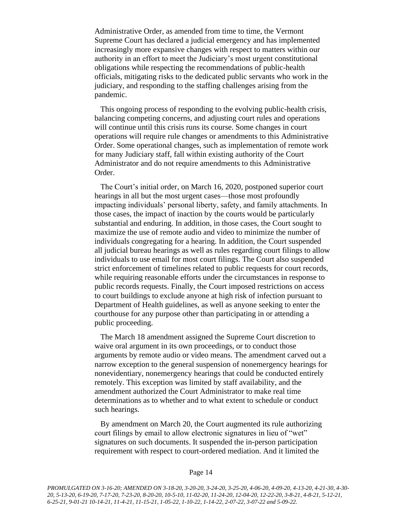Administrative Order, as amended from time to time, the Vermont Supreme Court has declared a judicial emergency and has implemented increasingly more expansive changes with respect to matters within our authority in an effort to meet the Judiciary's most urgent constitutional obligations while respecting the recommendations of public-health officials, mitigating risks to the dedicated public servants who work in the judiciary, and responding to the staffing challenges arising from the pandemic.

This ongoing process of responding to the evolving public-health crisis, balancing competing concerns, and adjusting court rules and operations will continue until this crisis runs its course. Some changes in court operations will require rule changes or amendments to this Administrative Order. Some operational changes, such as implementation of remote work for many Judiciary staff, fall within existing authority of the Court Administrator and do not require amendments to this Administrative Order.

The Court's initial order, on March 16, 2020, postponed superior court hearings in all but the most urgent cases—those most profoundly impacting individuals' personal liberty, safety, and family attachments. In those cases, the impact of inaction by the courts would be particularly substantial and enduring. In addition, in those cases, the Court sought to maximize the use of remote audio and video to minimize the number of individuals congregating for a hearing. In addition, the Court suspended all judicial bureau hearings as well as rules regarding court filings to allow individuals to use email for most court filings. The Court also suspended strict enforcement of timelines related to public requests for court records, while requiring reasonable efforts under the circumstances in response to public records requests. Finally, the Court imposed restrictions on access to court buildings to exclude anyone at high risk of infection pursuant to Department of Health guidelines, as well as anyone seeking to enter the courthouse for any purpose other than participating in or attending a public proceeding.

The March 18 amendment assigned the Supreme Court discretion to waive oral argument in its own proceedings, or to conduct those arguments by remote audio or video means. The amendment carved out a narrow exception to the general suspension of nonemergency hearings for nonevidentiary, nonemergency hearings that could be conducted entirely remotely. This exception was limited by staff availability, and the amendment authorized the Court Administrator to make real time determinations as to whether and to what extent to schedule or conduct such hearings.

By amendment on March 20, the Court augmented its rule authorizing court filings by email to allow electronic signatures in lieu of "wet" signatures on such documents. It suspended the in-person participation requirement with respect to court-ordered mediation. And it limited the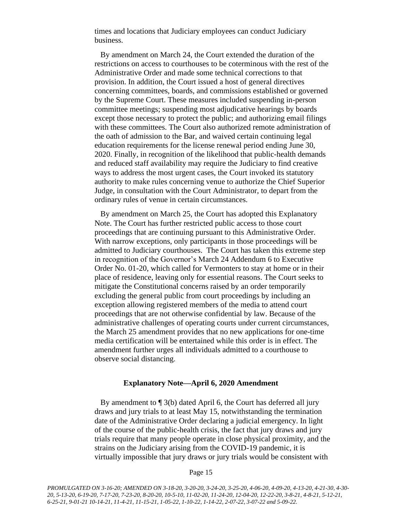times and locations that Judiciary employees can conduct Judiciary business.

By amendment on March 24, the Court extended the duration of the restrictions on access to courthouses to be coterminous with the rest of the Administrative Order and made some technical corrections to that provision. In addition, the Court issued a host of general directives concerning committees, boards, and commissions established or governed by the Supreme Court. These measures included suspending in-person committee meetings; suspending most adjudicative hearings by boards except those necessary to protect the public; and authorizing email filings with these committees. The Court also authorized remote administration of the oath of admission to the Bar, and waived certain continuing legal education requirements for the license renewal period ending June 30, 2020. Finally, in recognition of the likelihood that public-health demands and reduced staff availability may require the Judiciary to find creative ways to address the most urgent cases, the Court invoked its statutory authority to make rules concerning venue to authorize the Chief Superior Judge, in consultation with the Court Administrator, to depart from the ordinary rules of venue in certain circumstances.

By amendment on March 25, the Court has adopted this Explanatory Note. The Court has further restricted public access to those court proceedings that are continuing pursuant to this Administrative Order. With narrow exceptions, only participants in those proceedings will be admitted to Judiciary courthouses. The Court has taken this extreme step in recognition of the Governor's March 24 Addendum 6 to Executive Order No. 01-20, which called for Vermonters to stay at home or in their place of residence, leaving only for essential reasons. The Court seeks to mitigate the Constitutional concerns raised by an order temporarily excluding the general public from court proceedings by including an exception allowing registered members of the media to attend court proceedings that are not otherwise confidential by law. Because of the administrative challenges of operating courts under current circumstances, the March 25 amendment provides that no new applications for one-time media certification will be entertained while this order is in effect. The amendment further urges all individuals admitted to a courthouse to observe social distancing.

#### **Explanatory Note—April 6, 2020 Amendment**

By amendment to ¶ 3(b) dated April 6, the Court has deferred all jury draws and jury trials to at least May 15, notwithstanding the termination date of the Administrative Order declaring a judicial emergency. In light of the course of the public-health crisis, the fact that jury draws and jury trials require that many people operate in close physical proximity, and the strains on the Judiciary arising from the COVID-19 pandemic, it is virtually impossible that jury draws or jury trials would be consistent with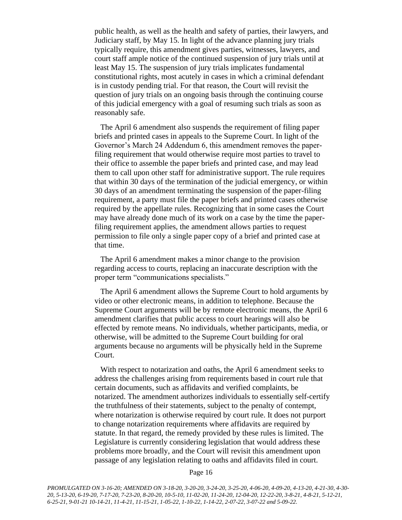public health, as well as the health and safety of parties, their lawyers, and Judiciary staff, by May 15. In light of the advance planning jury trials typically require, this amendment gives parties, witnesses, lawyers, and court staff ample notice of the continued suspension of jury trials until at least May 15. The suspension of jury trials implicates fundamental constitutional rights, most acutely in cases in which a criminal defendant is in custody pending trial. For that reason, the Court will revisit the question of jury trials on an ongoing basis through the continuing course of this judicial emergency with a goal of resuming such trials as soon as reasonably safe.

The April 6 amendment also suspends the requirement of filing paper briefs and printed cases in appeals to the Supreme Court. In light of the Governor's March 24 Addendum 6, this amendment removes the paperfiling requirement that would otherwise require most parties to travel to their office to assemble the paper briefs and printed case, and may lead them to call upon other staff for administrative support. The rule requires that within 30 days of the termination of the judicial emergency, or within 30 days of an amendment terminating the suspension of the paper-filing requirement, a party must file the paper briefs and printed cases otherwise required by the appellate rules. Recognizing that in some cases the Court may have already done much of its work on a case by the time the paperfiling requirement applies, the amendment allows parties to request permission to file only a single paper copy of a brief and printed case at that time.

The April 6 amendment makes a minor change to the provision regarding access to courts, replacing an inaccurate description with the proper term "communications specialists."

The April 6 amendment allows the Supreme Court to hold arguments by video or other electronic means, in addition to telephone. Because the Supreme Court arguments will be by remote electronic means, the April 6 amendment clarifies that public access to court hearings will also be effected by remote means. No individuals, whether participants, media, or otherwise, will be admitted to the Supreme Court building for oral arguments because no arguments will be physically held in the Supreme Court.

With respect to notarization and oaths, the April 6 amendment seeks to address the challenges arising from requirements based in court rule that certain documents, such as affidavits and verified complaints, be notarized. The amendment authorizes individuals to essentially self-certify the truthfulness of their statements, subject to the penalty of contempt, where notarization is otherwise required by court rule. It does not purport to change notarization requirements where affidavits are required by statute. In that regard, the remedy provided by these rules is limited. The Legislature is currently considering legislation that would address these problems more broadly, and the Court will revisit this amendment upon passage of any legislation relating to oaths and affidavits filed in court.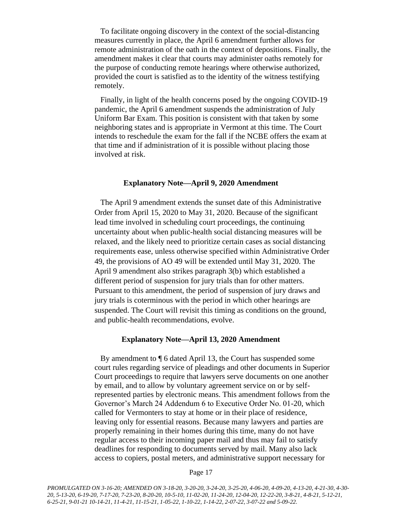To facilitate ongoing discovery in the context of the social-distancing measures currently in place, the April 6 amendment further allows for remote administration of the oath in the context of depositions. Finally, the amendment makes it clear that courts may administer oaths remotely for the purpose of conducting remote hearings where otherwise authorized, provided the court is satisfied as to the identity of the witness testifying remotely.

Finally, in light of the health concerns posed by the ongoing COVID-19 pandemic, the April 6 amendment suspends the administration of July Uniform Bar Exam. This position is consistent with that taken by some neighboring states and is appropriate in Vermont at this time. The Court intends to reschedule the exam for the fall if the NCBE offers the exam at that time and if administration of it is possible without placing those involved at risk.

#### **Explanatory Note—April 9, 2020 Amendment**

The April 9 amendment extends the sunset date of this Administrative Order from April 15, 2020 to May 31, 2020. Because of the significant lead time involved in scheduling court proceedings, the continuing uncertainty about when public-health social distancing measures will be relaxed, and the likely need to prioritize certain cases as social distancing requirements ease, unless otherwise specified within Administrative Order 49, the provisions of AO 49 will be extended until May 31, 2020. The April 9 amendment also strikes paragraph 3(b) which established a different period of suspension for jury trials than for other matters. Pursuant to this amendment, the period of suspension of jury draws and jury trials is coterminous with the period in which other hearings are suspended. The Court will revisit this timing as conditions on the ground, and public-health recommendations, evolve.

### **Explanatory Note—April 13, 2020 Amendment**

By amendment to ¶ 6 dated April 13, the Court has suspended some court rules regarding service of pleadings and other documents in Superior Court proceedings to require that lawyers serve documents on one another by email, and to allow by voluntary agreement service on or by selfrepresented parties by electronic means. This amendment follows from the Governor's March 24 Addendum 6 to Executive Order No. 01-20, which called for Vermonters to stay at home or in their place of residence, leaving only for essential reasons. Because many lawyers and parties are properly remaining in their homes during this time, many do not have regular access to their incoming paper mail and thus may fail to satisfy deadlines for responding to documents served by mail. Many also lack access to copiers, postal meters, and administrative support necessary for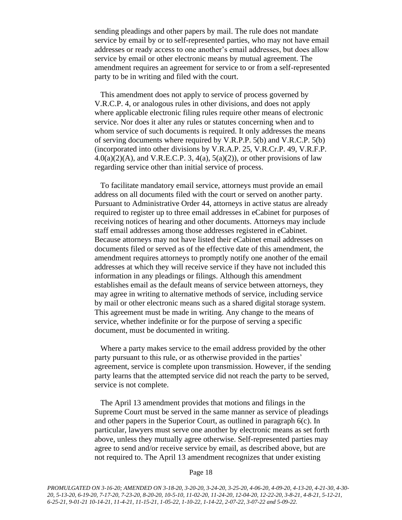sending pleadings and other papers by mail. The rule does not mandate service by email by or to self-represented parties, who may not have email addresses or ready access to one another's email addresses, but does allow service by email or other electronic means by mutual agreement. The amendment requires an agreement for service to or from a self-represented party to be in writing and filed with the court.

This amendment does not apply to service of process governed by V.R.C.P. 4, or analogous rules in other divisions, and does not apply where applicable electronic filing rules require other means of electronic service. Nor does it alter any rules or statutes concerning when and to whom service of such documents is required. It only addresses the means of serving documents where required by V.R.P.P. 5(b) and V.R.C.P. 5(b) (incorporated into other divisions by V.R.A.P. 25, V.R.Cr.P. 49, V.R.F.P.  $4.0(a)(2)(A)$ , and V.R.E.C.P. 3,  $4(a)$ ,  $5(a)(2)$ ), or other provisions of law regarding service other than initial service of process.

To facilitate mandatory email service, attorneys must provide an email address on all documents filed with the court or served on another party. Pursuant to Administrative Order 44, attorneys in active status are already required to register up to three email addresses in eCabinet for purposes of receiving notices of hearing and other documents. Attorneys may include staff email addresses among those addresses registered in eCabinet. Because attorneys may not have listed their eCabinet email addresses on documents filed or served as of the effective date of this amendment, the amendment requires attorneys to promptly notify one another of the email addresses at which they will receive service if they have not included this information in any pleadings or filings. Although this amendment establishes email as the default means of service between attorneys, they may agree in writing to alternative methods of service, including service by mail or other electronic means such as a shared digital storage system. This agreement must be made in writing. Any change to the means of service, whether indefinite or for the purpose of serving a specific document, must be documented in writing.

Where a party makes service to the email address provided by the other party pursuant to this rule, or as otherwise provided in the parties' agreement, service is complete upon transmission. However, if the sending party learns that the attempted service did not reach the party to be served, service is not complete.

The April 13 amendment provides that motions and filings in the Supreme Court must be served in the same manner as service of pleadings and other papers in the Superior Court, as outlined in paragraph 6(c). In particular, lawyers must serve one another by electronic means as set forth above, unless they mutually agree otherwise. Self-represented parties may agree to send and/or receive service by email, as described above, but are not required to. The April 13 amendment recognizes that under existing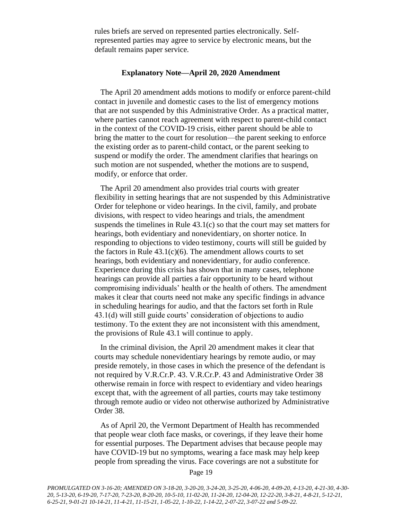rules briefs are served on represented parties electronically. Selfrepresented parties may agree to service by electronic means, but the default remains paper service.

#### **Explanatory Note—April 20, 2020 Amendment**

The April 20 amendment adds motions to modify or enforce parent-child contact in juvenile and domestic cases to the list of emergency motions that are not suspended by this Administrative Order. As a practical matter, where parties cannot reach agreement with respect to parent-child contact in the context of the COVID-19 crisis, either parent should be able to bring the matter to the court for resolution—the parent seeking to enforce the existing order as to parent-child contact, or the parent seeking to suspend or modify the order. The amendment clarifies that hearings on such motion are not suspended, whether the motions are to suspend, modify, or enforce that order.

The April 20 amendment also provides trial courts with greater flexibility in setting hearings that are not suspended by this Administrative Order for telephone or video hearings. In the civil, family, and probate divisions, with respect to video hearings and trials, the amendment suspends the timelines in Rule 43.1(c) so that the court may set matters for hearings, both evidentiary and nonevidentiary, on shorter notice. In responding to objections to video testimony, courts will still be guided by the factors in Rule  $43.1(c)(6)$ . The amendment allows courts to set hearings, both evidentiary and nonevidentiary, for audio conference. Experience during this crisis has shown that in many cases, telephone hearings can provide all parties a fair opportunity to be heard without compromising individuals' health or the health of others. The amendment makes it clear that courts need not make any specific findings in advance in scheduling hearings for audio, and that the factors set forth in Rule 43.1(d) will still guide courts' consideration of objections to audio testimony. To the extent they are not inconsistent with this amendment, the provisions of Rule 43.1 will continue to apply.

In the criminal division, the April 20 amendment makes it clear that courts may schedule nonevidentiary hearings by remote audio, or may preside remotely, in those cases in which the presence of the defendant is not required by V.R.Cr.P. 43. V.R.Cr.P. 43 and Administrative Order 38 otherwise remain in force with respect to evidentiary and video hearings except that, with the agreement of all parties, courts may take testimony through remote audio or video not otherwise authorized by Administrative Order 38.

As of April 20, the Vermont Department of Health has recommended that people wear cloth face masks, or coverings, if they leave their home for essential purposes. The Department advises that because people may have COVID-19 but no symptoms, wearing a face mask may help keep people from spreading the virus. Face coverings are not a substitute for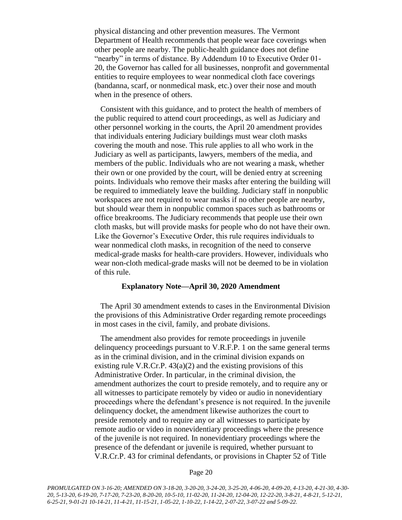physical distancing and other prevention measures. The Vermont Department of Health recommends that people wear face coverings when other people are nearby. The public-health guidance does not define "nearby" in terms of distance. By Addendum 10 to Executive Order 01- 20, the Governor has called for all businesses, nonprofit and governmental entities to require employees to wear nonmedical cloth face coverings (bandanna, scarf, or nonmedical mask, etc.) over their nose and mouth when in the presence of others.

Consistent with this guidance, and to protect the health of members of the public required to attend court proceedings, as well as Judiciary and other personnel working in the courts, the April 20 amendment provides that individuals entering Judiciary buildings must wear cloth masks covering the mouth and nose. This rule applies to all who work in the Judiciary as well as participants, lawyers, members of the media, and members of the public. Individuals who are not wearing a mask, whether their own or one provided by the court, will be denied entry at screening points. Individuals who remove their masks after entering the building will be required to immediately leave the building. Judiciary staff in nonpublic workspaces are not required to wear masks if no other people are nearby, but should wear them in nonpublic common spaces such as bathrooms or office breakrooms. The Judiciary recommends that people use their own cloth masks, but will provide masks for people who do not have their own. Like the Governor's Executive Order, this rule requires individuals to wear nonmedical cloth masks, in recognition of the need to conserve medical-grade masks for health-care providers. However, individuals who wear non-cloth medical-grade masks will not be deemed to be in violation of this rule.

### **Explanatory Note—April 30, 2020 Amendment**

The April 30 amendment extends to cases in the Environmental Division the provisions of this Administrative Order regarding remote proceedings in most cases in the civil, family, and probate divisions.

The amendment also provides for remote proceedings in juvenile delinquency proceedings pursuant to V.R.F.P. 1 on the same general terms as in the criminal division, and in the criminal division expands on existing rule V.R.Cr.P.  $43(a)(2)$  and the existing provisions of this Administrative Order. In particular, in the criminal division, the amendment authorizes the court to preside remotely, and to require any or all witnesses to participate remotely by video or audio in nonevidentiary proceedings where the defendant's presence is not required. In the juvenile delinquency docket, the amendment likewise authorizes the court to preside remotely and to require any or all witnesses to participate by remote audio or video in nonevidentiary proceedings where the presence of the juvenile is not required. In nonevidentiary proceedings where the presence of the defendant or juvenile is required, whether pursuant to V.R.Cr.P. 43 for criminal defendants, or provisions in Chapter 52 of Title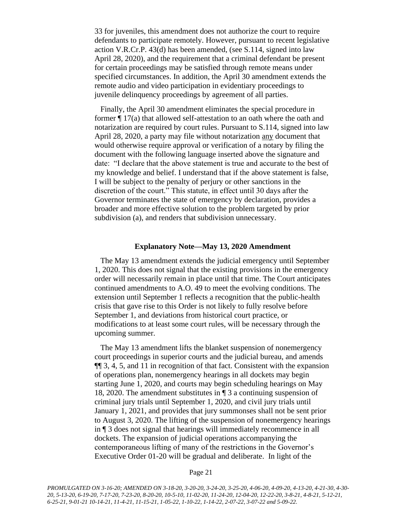33 for juveniles, this amendment does not authorize the court to require defendants to participate remotely. However, pursuant to recent legislative action V.R.Cr.P. 43(d) has been amended, (see S.114, signed into law April 28, 2020), and the requirement that a criminal defendant be present for certain proceedings may be satisfied through remote means under specified circumstances. In addition, the April 30 amendment extends the remote audio and video participation in evidentiary proceedings to juvenile delinquency proceedings by agreement of all parties.

Finally, the April 30 amendment eliminates the special procedure in former ¶ 17(a) that allowed self-attestation to an oath where the oath and notarization are required by court rules. Pursuant to S.114, signed into law April 28, 2020, a party may file without notarization any document that would otherwise require approval or verification of a notary by filing the document with the following language inserted above the signature and date: "I declare that the above statement is true and accurate to the best of my knowledge and belief. I understand that if the above statement is false, I will be subject to the penalty of perjury or other sanctions in the discretion of the court." This statute, in effect until 30 days after the Governor terminates the state of emergency by declaration, provides a broader and more effective solution to the problem targeted by prior subdivision (a), and renders that subdivision unnecessary.

#### **Explanatory Note—May 13, 2020 Amendment**

The May 13 amendment extends the judicial emergency until September 1, 2020. This does not signal that the existing provisions in the emergency order will necessarily remain in place until that time. The Court anticipates continued amendments to A.O. 49 to meet the evolving conditions. The extension until September 1 reflects a recognition that the public-health crisis that gave rise to this Order is not likely to fully resolve before September 1, and deviations from historical court practice, or modifications to at least some court rules, will be necessary through the upcoming summer.

The May 13 amendment lifts the blanket suspension of nonemergency court proceedings in superior courts and the judicial bureau, and amends ¶¶ 3, 4, 5, and 11 in recognition of that fact. Consistent with the expansion of operations plan, nonemergency hearings in all dockets may begin starting June 1, 2020, and courts may begin scheduling hearings on May 18, 2020. The amendment substitutes in ¶ 3 a continuing suspension of criminal jury trials until September 1, 2020, and civil jury trials until January 1, 2021, and provides that jury summonses shall not be sent prior to August 3, 2020. The lifting of the suspension of nonemergency hearings in ¶ 3 does not signal that hearings will immediately recommence in all dockets. The expansion of judicial operations accompanying the contemporaneous lifting of many of the restrictions in the Governor's Executive Order 01-20 will be gradual and deliberate. In light of the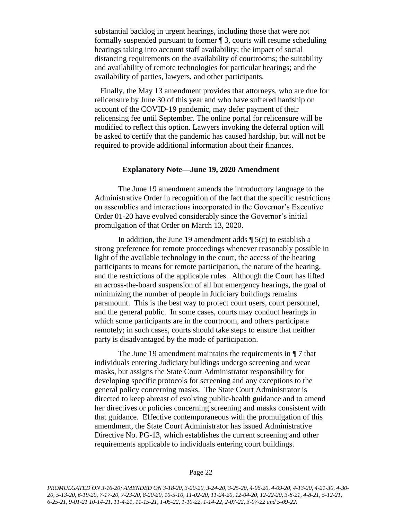substantial backlog in urgent hearings, including those that were not formally suspended pursuant to former ¶ 3, courts will resume scheduling hearings taking into account staff availability; the impact of social distancing requirements on the availability of courtrooms; the suitability and availability of remote technologies for particular hearings; and the availability of parties, lawyers, and other participants.

Finally, the May 13 amendment provides that attorneys, who are due for relicensure by June 30 of this year and who have suffered hardship on account of the COVID-19 pandemic, may defer payment of their relicensing fee until September. The online portal for relicensure will be modified to reflect this option. Lawyers invoking the deferral option will be asked to certify that the pandemic has caused hardship, but will not be required to provide additional information about their finances.

### **Explanatory Note—June 19, 2020 Amendment**

The June 19 amendment amends the introductory language to the Administrative Order in recognition of the fact that the specific restrictions on assemblies and interactions incorporated in the Governor's Executive Order 01-20 have evolved considerably since the Governor's initial promulgation of that Order on March 13, 2020.

In addition, the June 19 amendment adds  $\P$  5(c) to establish a strong preference for remote proceedings whenever reasonably possible in light of the available technology in the court, the access of the hearing participants to means for remote participation, the nature of the hearing, and the restrictions of the applicable rules. Although the Court has lifted an across-the-board suspension of all but emergency hearings, the goal of minimizing the number of people in Judiciary buildings remains paramount. This is the best way to protect court users, court personnel, and the general public. In some cases, courts may conduct hearings in which some participants are in the courtroom, and others participate remotely; in such cases, courts should take steps to ensure that neither party is disadvantaged by the mode of participation.

The June 19 amendment maintains the requirements in  $\P$  7 that individuals entering Judiciary buildings undergo screening and wear masks, but assigns the State Court Administrator responsibility for developing specific protocols for screening and any exceptions to the general policy concerning masks. The State Court Administrator is directed to keep abreast of evolving public-health guidance and to amend her directives or policies concerning screening and masks consistent with that guidance. Effective contemporaneous with the promulgation of this amendment, the State Court Administrator has issued Administrative Directive No. PG-13, which establishes the current screening and other requirements applicable to individuals entering court buildings.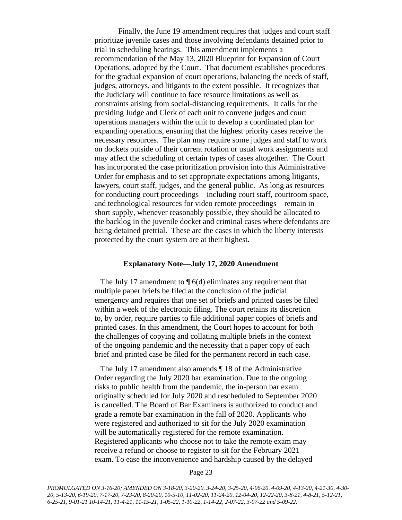Finally, the June 19 amendment requires that judges and court staff prioritize juvenile cases and those involving defendants detained prior to trial in scheduling hearings. This amendment implements a recommendation of the May 13, 2020 Blueprint for Expansion of Court Operations, adopted by the Court. That document establishes procedures for the gradual expansion of court operations, balancing the needs of staff, judges, attorneys, and litigants to the extent possible. It recognizes that the Judiciary will continue to face resource limitations as well as constraints arising from social-distancing requirements. It calls for the presiding Judge and Clerk of each unit to convene judges and court operations managers within the unit to develop a coordinated plan for expanding operations, ensuring that the highest priority cases receive the necessary resources. The plan may require some judges and staff to work on dockets outside of their current rotation or usual work assignments and may affect the scheduling of certain types of cases altogether. The Court has incorporated the case prioritization provision into this Administrative Order for emphasis and to set appropriate expectations among litigants, lawyers, court staff, judges, and the general public. As long as resources for conducting court proceedings—including court staff, courtroom space, and technological resources for video remote proceedings—remain in short supply, whenever reasonably possible, they should be allocated to the backlog in the juvenile docket and criminal cases where defendants are being detained pretrial. These are the cases in which the liberty interests protected by the court system are at their highest.

### **Explanatory Note—July 17, 2020 Amendment**

The July 17 amendment to  $\P$  6(d) eliminates any requirement that multiple paper briefs be filed at the conclusion of the judicial emergency and requires that one set of briefs and printed cases be filed within a week of the electronic filing. The court retains its discretion to, by order, require parties to file additional paper copies of briefs and printed cases. In this amendment, the Court hopes to account for both the challenges of copying and collating multiple briefs in the context of the ongoing pandemic and the necessity that a paper copy of each brief and printed case be filed for the permanent record in each case.

The July 17 amendment also amends ¶ 18 of the Administrative Order regarding the July 2020 bar examination. Due to the ongoing risks to public health from the pandemic, the in-person bar exam originally scheduled for July 2020 and rescheduled to September 2020 is cancelled. The Board of Bar Examiners is authorized to conduct and grade a remote bar examination in the fall of 2020. Applicants who were registered and authorized to sit for the July 2020 examination will be automatically registered for the remote examination. Registered applicants who choose not to take the remote exam may receive a refund or choose to register to sit for the February 2021 exam. To ease the inconvenience and hardship caused by the delayed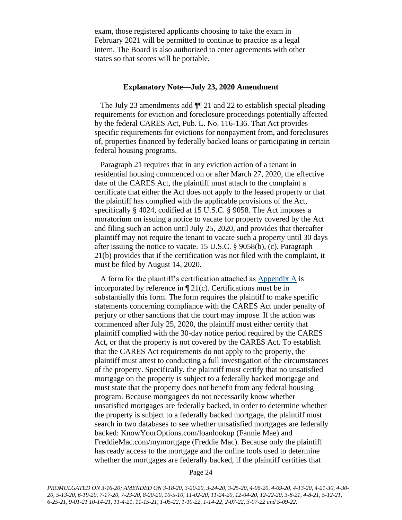exam, those registered applicants choosing to take the exam in February 2021 will be permitted to continue to practice as a legal intern. The Board is also authorized to enter agreements with other states so that scores will be portable.

#### **Explanatory Note—July 23, 2020 Amendment**

The July 23 amendments add ¶¶ 21 and 22 to establish special pleading requirements for eviction and foreclosure proceedings potentially affected by the federal CARES Act, Pub. L. No. 116-136. That Act provides specific requirements for evictions for nonpayment from, and foreclosures of, properties financed by federally backed loans or participating in certain federal housing programs.

Paragraph 21 requires that in any eviction action of a tenant in residential housing commenced on or after March 27, 2020, the effective date of the CARES Act, the plaintiff must attach to the complaint a certificate that either the Act does not apply to the leased property or that the plaintiff has complied with the applicable provisions of the Act, specifically § 4024, codified at 15 U.S.C. § 9058. The Act imposes a moratorium on issuing a notice to vacate for property covered by the Act and filing such an action until July 25, 2020, and provides that thereafter plaintiff may not require the tenant to vacate such a property until 30 days after issuing the notice to vacate. 15 U.S.C. § 9058(b), (c). Paragraph 21(b) provides that if the certification was not filed with the complaint, it must be filed by August 14, 2020.

A form for the plaintiff's certification attached as [Appendix A](https://www.vermontjudiciary.org/sites/default/files/documents/Appendix%20A_1.pdf) is incorporated by reference in  $\P$  21(c). Certifications must be in substantially this form. The form requires the plaintiff to make specific statements concerning compliance with the CARES Act under penalty of perjury or other sanctions that the court may impose. If the action was commenced after July 25, 2020, the plaintiff must either certify that plaintiff complied with the 30-day notice period required by the CARES Act, or that the property is not covered by the CARES Act. To establish that the CARES Act requirements do not apply to the property, the plaintiff must attest to conducting a full investigation of the circumstances of the property. Specifically, the plaintiff must certify that no unsatisfied mortgage on the property is subject to a federally backed mortgage and must state that the property does not benefit from any federal housing program. Because mortgagees do not necessarily know whether unsatisfied mortgages are federally backed, in order to determine whether the property is subject to a federally backed mortgage, the plaintiff must search in two databases to see whether unsatisfied mortgages are federally backed: KnowYourOptions.com/loanlookup (Fannie Mae) and FreddieMac.com/mymortgage (Freddie Mac). Because only the plaintiff has ready access to the mortgage and the online tools used to determine whether the mortgages are federally backed, if the plaintiff certifies that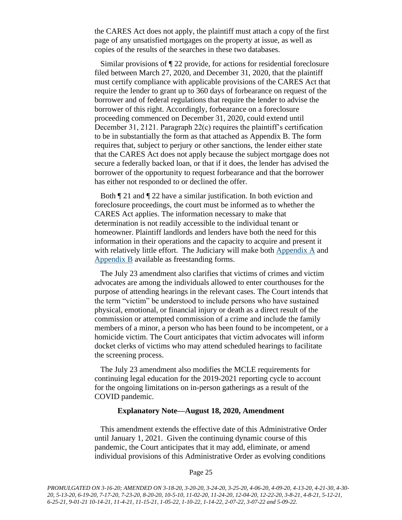the CARES Act does not apply, the plaintiff must attach a copy of the first page of any unsatisfied mortgages on the property at issue, as well as copies of the results of the searches in these two databases.

Similar provisions of ¶ 22 provide, for actions for residential foreclosure filed between March 27, 2020, and December 31, 2020, that the plaintiff must certify compliance with applicable provisions of the CARES Act that require the lender to grant up to 360 days of forbearance on request of the borrower and of federal regulations that require the lender to advise the borrower of this right. Accordingly, forbearance on a foreclosure proceeding commenced on December 31, 2020, could extend until December 31, 2121. Paragraph 22(c) requires the plaintiff's certification to be in substantially the form as that attached as Appendix B. The form requires that, subject to perjury or other sanctions, the lender either state that the CARES Act does not apply because the subject mortgage does not secure a federally backed loan, or that if it does, the lender has advised the borrower of the opportunity to request forbearance and that the borrower has either not responded to or declined the offer.

Both ¶ 21 and ¶ 22 have a similar justification. In both eviction and foreclosure proceedings, the court must be informed as to whether the CARES Act applies. The information necessary to make that determination is not readily accessible to the individual tenant or homeowner. Plaintiff landlords and lenders have both the need for this information in their operations and the capacity to acquire and present it with relatively little effort. The Judiciary will make both [Appendix A](https://www.vermontjudiciary.org/sites/default/files/documents/Appendix%20A_1.pdf) and [Appendix B](https://www.vermontjudiciary.org/sites/default/files/documents/Appendix%20B.pdf) available as freestanding forms.

The July 23 amendment also clarifies that victims of crimes and victim advocates are among the individuals allowed to enter courthouses for the purpose of attending hearings in the relevant cases. The Court intends that the term "victim" be understood to include persons who have sustained physical, emotional, or financial injury or death as a direct result of the commission or attempted commission of a crime and include the family members of a minor, a person who has been found to be incompetent, or a homicide victim. The Court anticipates that victim advocates will inform docket clerks of victims who may attend scheduled hearings to facilitate the screening process.

The July 23 amendment also modifies the MCLE requirements for continuing legal education for the 2019-2021 reporting cycle to account for the ongoing limitations on in-person gatherings as a result of the COVID pandemic.

### **Explanatory Note—August 18, 2020, Amendment**

This amendment extends the effective date of this Administrative Order until January 1, 2021. Given the continuing dynamic course of this pandemic, the Court anticipates that it may add, eliminate, or amend individual provisions of this Administrative Order as evolving conditions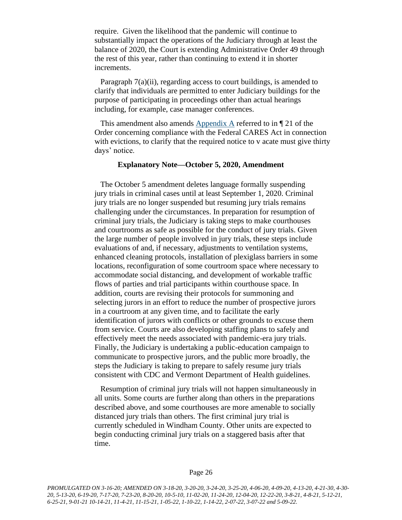require. Given the likelihood that the pandemic will continue to substantially impact the operations of the Judiciary through at least the balance of 2020, the Court is extending Administrative Order 49 through the rest of this year, rather than continuing to extend it in shorter increments.

Paragraph 7(a)(ii), regarding access to court buildings, is amended to clarify that individuals are permitted to enter Judiciary buildings for the purpose of participating in proceedings other than actual hearings including, for example, case manager conferences.

This amendment also amends [Appendix A](https://www.vermontjudiciary.org/sites/default/files/documents/Appendix%20A_1.pdf) referred to in ¶ 21 of the Order concerning compliance with the Federal CARES Act in connection with evictions, to clarify that the required notice to v acate must give thirty days' notice.

#### **Explanatory Note—October 5, 2020, Amendment**

The October 5 amendment deletes language formally suspending jury trials in criminal cases until at least September 1, 2020. Criminal jury trials are no longer suspended but resuming jury trials remains challenging under the circumstances. In preparation for resumption of criminal jury trials, the Judiciary is taking steps to make courthouses and courtrooms as safe as possible for the conduct of jury trials. Given the large number of people involved in jury trials, these steps include evaluations of and, if necessary, adjustments to ventilation systems, enhanced cleaning protocols, installation of plexiglass barriers in some locations, reconfiguration of some courtroom space where necessary to accommodate social distancing, and development of workable traffic flows of parties and trial participants within courthouse space. In addition, courts are revising their protocols for summoning and selecting jurors in an effort to reduce the number of prospective jurors in a courtroom at any given time, and to facilitate the early identification of jurors with conflicts or other grounds to excuse them from service. Courts are also developing staffing plans to safely and effectively meet the needs associated with pandemic-era jury trials. Finally, the Judiciary is undertaking a public-education campaign to communicate to prospective jurors, and the public more broadly, the steps the Judiciary is taking to prepare to safely resume jury trials consistent with CDC and Vermont Department of Health guidelines.

Resumption of criminal jury trials will not happen simultaneously in all units. Some courts are further along than others in the preparations described above, and some courthouses are more amenable to socially distanced jury trials than others. The first criminal jury trial is currently scheduled in Windham County. Other units are expected to begin conducting criminal jury trials on a staggered basis after that time.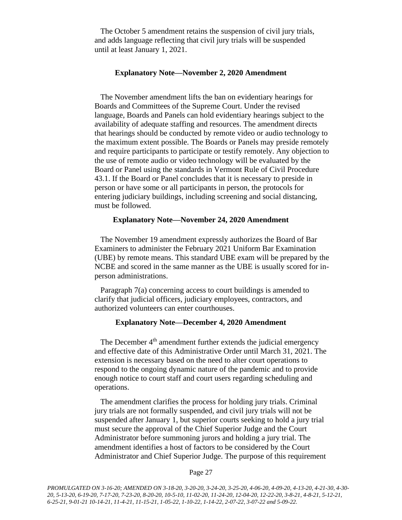The October 5 amendment retains the suspension of civil jury trials, and adds language reflecting that civil jury trials will be suspended until at least January 1, 2021.

#### **Explanatory Note—November 2, 2020 Amendment**

The November amendment lifts the ban on evidentiary hearings for Boards and Committees of the Supreme Court. Under the revised language, Boards and Panels can hold evidentiary hearings subject to the availability of adequate staffing and resources. The amendment directs that hearings should be conducted by remote video or audio technology to the maximum extent possible. The Boards or Panels may preside remotely and require participants to participate or testify remotely. Any objection to the use of remote audio or video technology will be evaluated by the Board or Panel using the standards in Vermont Rule of Civil Procedure 43.1. If the Board or Panel concludes that it is necessary to preside in person or have some or all participants in person, the protocols for entering judiciary buildings, including screening and social distancing, must be followed.

### **Explanatory Note—November 24, 2020 Amendment**

The November 19 amendment expressly authorizes the Board of Bar Examiners to administer the February 2021 Uniform Bar Examination (UBE) by remote means. This standard UBE exam will be prepared by the NCBE and scored in the same manner as the UBE is usually scored for inperson administrations.

Paragraph 7(a) concerning access to court buildings is amended to clarify that judicial officers, judiciary employees, contractors, and authorized volunteers can enter courthouses.

#### **Explanatory Note—December 4, 2020 Amendment**

The December  $4<sup>th</sup>$  amendment further extends the judicial emergency and effective date of this Administrative Order until March 31, 2021. The extension is necessary based on the need to alter court operations to respond to the ongoing dynamic nature of the pandemic and to provide enough notice to court staff and court users regarding scheduling and operations.

The amendment clarifies the process for holding jury trials. Criminal jury trials are not formally suspended, and civil jury trials will not be suspended after January 1, but superior courts seeking to hold a jury trial must secure the approval of the Chief Superior Judge and the Court Administrator before summoning jurors and holding a jury trial. The amendment identifies a host of factors to be considered by the Court Administrator and Chief Superior Judge. The purpose of this requirement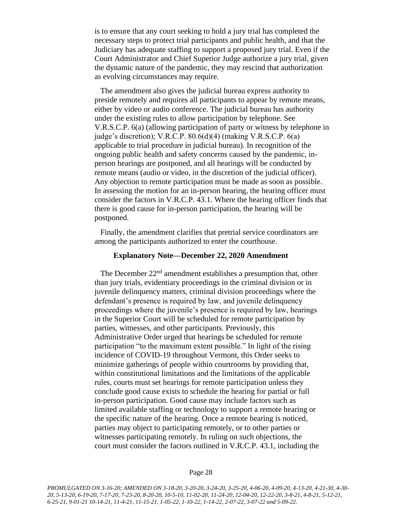is to ensure that any court seeking to hold a jury trial has completed the necessary steps to protect trial participants and public health, and that the Judiciary has adequate staffing to support a proposed jury trial. Even if the Court Administrator and Chief Superior Judge authorize a jury trial, given the dynamic nature of the pandemic, they may rescind that authorization as evolving circumstances may require.

The amendment also gives the judicial bureau express authority to preside remotely and requires all participants to appear by remote means, either by video or audio conference. The judicial bureau has authority under the existing rules to allow participation by telephone. See V.R.S.C.P. 6(a) (allowing participation of party or witness by telephone in judge's discretion); V.R.C.P. 80.6(d)(4) (making V.R.S.C.P. 6(a) applicable to trial procedure in judicial bureau). In recognition of the ongoing public health and safety concerns caused by the pandemic, inperson hearings are postponed, and all hearings will be conducted by remote means (audio or video, in the discretion of the judicial officer). Any objection to remote participation must be made as soon as possible. In assessing the motion for an in-person hearing, the hearing officer must consider the factors in V.R.C.P. 43.1. Where the hearing officer finds that there is good cause for in-person participation, the hearing will be postponed.

Finally, the amendment clarifies that pretrial service coordinators are among the participants authorized to enter the courthouse.

#### **Explanatory Note—December 22, 2020 Amendment**

The December 22<sup>nd</sup> amendment establishes a presumption that, other than jury trials, evidentiary proceedings in the criminal division or in juvenile delinquency matters, criminal division proceedings where the defendant's presence is required by law, and juvenile delinquency proceedings where the juvenile's presence is required by law, hearings in the Superior Court will be scheduled for remote participation by parties, witnesses, and other participants. Previously, this Administrative Order urged that hearings be scheduled for remote participation "to the maximum extent possible." In light of the rising incidence of COVID-19 throughout Vermont, this Order seeks to minimize gatherings of people within courtrooms by providing that, within constitutional limitations and the limitations of the applicable rules, courts must set hearings for remote participation unless they conclude good cause exists to schedule the hearing for partial or full in-person participation. Good cause may include factors such as limited available staffing or technology to support a remote hearing or the specific nature of the hearing. Once a remote hearing is noticed, parties may object to participating remotely, or to other parties or witnesses participating remotely. In ruling on such objections, the court must consider the factors outlined in V.R.C.P. 43.1, including the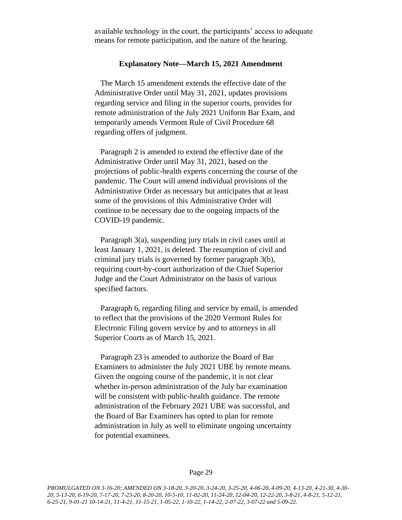available technology in the court, the participants' access to adequate means for remote participation, and the nature of the hearing.

#### **Explanatory Note—March 15, 2021 Amendment**

The March 15 amendment extends the effective date of the Administrative Order until May 31, 2021, updates provisions regarding service and filing in the superior courts, provides for remote administration of the July 2021 Uniform Bar Exam, and temporarily amends Vermont Rule of Civil Procedure 68 regarding offers of judgment.

Paragraph 2 is amended to extend the effective date of the Administrative Order until May 31, 2021, based on the projections of public-health experts concerning the course of the pandemic. The Court will amend individual provisions of the Administrative Order as necessary but anticipates that at least some of the provisions of this Administrative Order will continue to be necessary due to the ongoing impacts of the COVID-19 pandemic.

Paragraph 3(a), suspending jury trials in civil cases until at least January 1, 2021, is deleted. The resumption of civil and criminal jury trials is governed by former paragraph 3(b), requiring court-by-court authorization of the Chief Superior Judge and the Court Administrator on the basis of various specified factors.

Paragraph 6, regarding filing and service by email, is amended to reflect that the provisions of the 2020 Vermont Rules for Electronic Filing govern service by and to attorneys in all Superior Courts as of March 15, 2021.

Paragraph 23 is amended to authorize the Board of Bar Examiners to administer the July 2021 UBE by remote means. Given the ongoing course of the pandemic, it is not clear whether in-person administration of the July bar examination will be consistent with public-health guidance. The remote administration of the February 2021 UBE was successful, and the Board of Bar Examiners has opted to plan for remote administration in July as well to eliminate ongoing uncertainty for potential examinees.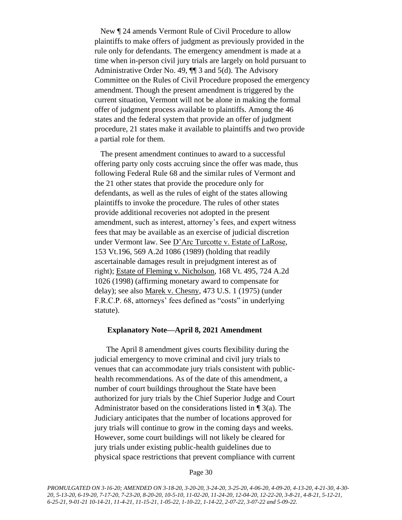New ¶ 24 amends Vermont Rule of Civil Procedure to allow plaintiffs to make offers of judgment as previously provided in the rule only for defendants. The emergency amendment is made at a time when in-person civil jury trials are largely on hold pursuant to Administrative Order No. 49, ¶¶ 3 and 5(d). The Advisory Committee on the Rules of Civil Procedure proposed the emergency amendment. Though the present amendment is triggered by the current situation, Vermont will not be alone in making the formal offer of judgment process available to plaintiffs. Among the 46 states and the federal system that provide an offer of judgment procedure, 21 states make it available to plaintiffs and two provide a partial role for them.

The present amendment continues to award to a successful offering party only costs accruing since the offer was made, thus following Federal Rule 68 and the similar rules of Vermont and the 21 other states that provide the procedure only for defendants, as well as the rules of eight of the states allowing plaintiffs to invoke the procedure. The rules of other states provide additional recoveries not adopted in the present amendment, such as interest, attorney's fees, and expert witness fees that may be available as an exercise of judicial discretion under Vermont law. See D'Arc Turcotte v. Estate of LaRose, 153 Vt.196, 569 A.2d 1086 (1989) (holding that readily ascertainable damages result in prejudgment interest as of right); Estate of Fleming v. Nicholson, 168 Vt. 495, 724 A.2d 1026 (1998) (affirming monetary award to compensate for delay); see also Marek v. Chesny, 473 U.S. 1 (1975) (under F.R.C.P. 68, attorneys' fees defined as "costs" in underlying statute).

### **Explanatory Note—April 8, 2021 Amendment**

The April 8 amendment gives courts flexibility during the judicial emergency to move criminal and civil jury trials to venues that can accommodate jury trials consistent with publichealth recommendations. As of the date of this amendment, a number of court buildings throughout the State have been authorized for jury trials by the Chief Superior Judge and Court Administrator based on the considerations listed in  $\P$  3(a). The Judiciary anticipates that the number of locations approved for jury trials will continue to grow in the coming days and weeks. However, some court buildings will not likely be cleared for jury trials under existing public-health guidelines due to physical space restrictions that prevent compliance with current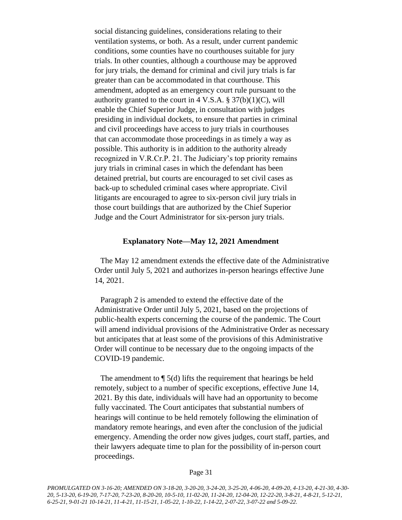social distancing guidelines, considerations relating to their ventilation systems, or both. As a result, under current pandemic conditions, some counties have no courthouses suitable for jury trials. In other counties, although a courthouse may be approved for jury trials, the demand for criminal and civil jury trials is far greater than can be accommodated in that courthouse. This amendment, adopted as an emergency court rule pursuant to the authority granted to the court in 4 V.S.A.  $\S 37(b)(1)(C)$ , will enable the Chief Superior Judge, in consultation with judges presiding in individual dockets, to ensure that parties in criminal and civil proceedings have access to jury trials in courthouses that can accommodate those proceedings in as timely a way as possible. This authority is in addition to the authority already recognized in V.R.Cr.P. 21. The Judiciary's top priority remains jury trials in criminal cases in which the defendant has been detained pretrial, but courts are encouraged to set civil cases as back-up to scheduled criminal cases where appropriate. Civil litigants are encouraged to agree to six-person civil jury trials in those court buildings that are authorized by the Chief Superior Judge and the Court Administrator for six-person jury trials.

### **Explanatory Note—May 12, 2021 Amendment**

The May 12 amendment extends the effective date of the Administrative Order until July 5, 2021 and authorizes in-person hearings effective June 14, 2021.

Paragraph 2 is amended to extend the effective date of the Administrative Order until July 5, 2021, based on the projections of public-health experts concerning the course of the pandemic. The Court will amend individual provisions of the Administrative Order as necessary but anticipates that at least some of the provisions of this Administrative Order will continue to be necessary due to the ongoing impacts of the COVID-19 pandemic.

The amendment to  $\P$  5(d) lifts the requirement that hearings be held remotely, subject to a number of specific exceptions, effective June 14, 2021. By this date, individuals will have had an opportunity to become fully vaccinated. The Court anticipates that substantial numbers of hearings will continue to be held remotely following the elimination of mandatory remote hearings, and even after the conclusion of the judicial emergency. Amending the order now gives judges, court staff, parties, and their lawyers adequate time to plan for the possibility of in-person court proceedings.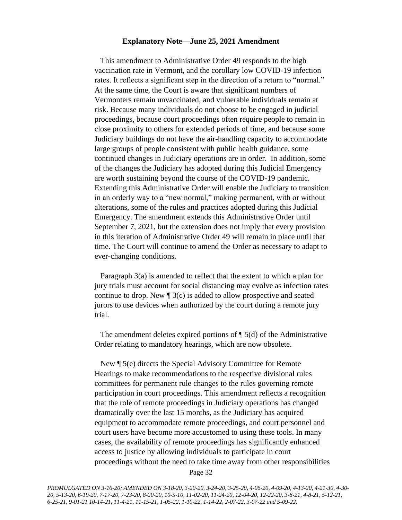#### **Explanatory Note—June 25, 2021 Amendment**

This amendment to Administrative Order 49 responds to the high vaccination rate in Vermont, and the corollary low COVID-19 infection rates. It reflects a significant step in the direction of a return to "normal." At the same time, the Court is aware that significant numbers of Vermonters remain unvaccinated, and vulnerable individuals remain at risk. Because many individuals do not choose to be engaged in judicial proceedings, because court proceedings often require people to remain in close proximity to others for extended periods of time, and because some Judiciary buildings do not have the air-handling capacity to accommodate large groups of people consistent with public health guidance, some continued changes in Judiciary operations are in order. In addition, some of the changes the Judiciary has adopted during this Judicial Emergency are worth sustaining beyond the course of the COVID-19 pandemic. Extending this Administrative Order will enable the Judiciary to transition in an orderly way to a "new normal," making permanent, with or without alterations, some of the rules and practices adopted during this Judicial Emergency. The amendment extends this Administrative Order until September 7, 2021, but the extension does not imply that every provision in this iteration of Administrative Order 49 will remain in place until that time. The Court will continue to amend the Order as necessary to adapt to ever-changing conditions.

Paragraph 3(a) is amended to reflect that the extent to which a plan for jury trials must account for social distancing may evolve as infection rates continue to drop. New ¶ 3(c) is added to allow prospective and seated jurors to use devices when authorized by the court during a remote jury trial.

The amendment deletes expired portions of  $\P$  5(d) of the Administrative Order relating to mandatory hearings, which are now obsolete.

New ¶ 5(e) directs the Special Advisory Committee for Remote Hearings to make recommendations to the respective divisional rules committees for permanent rule changes to the rules governing remote participation in court proceedings. This amendment reflects a recognition that the role of remote proceedings in Judiciary operations has changed dramatically over the last 15 months, as the Judiciary has acquired equipment to accommodate remote proceedings, and court personnel and court users have become more accustomed to using these tools. In many cases, the availability of remote proceedings has significantly enhanced access to justice by allowing individuals to participate in court proceedings without the need to take time away from other responsibilities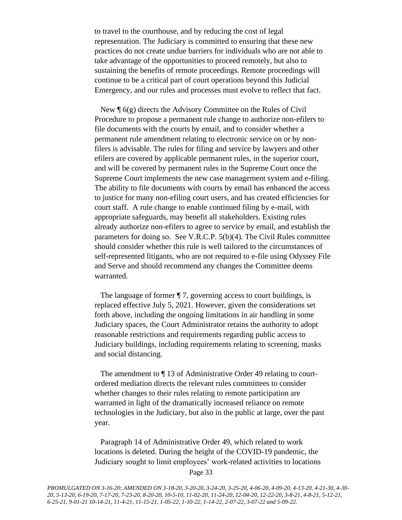to travel to the courthouse, and by reducing the cost of legal representation. The Judiciary is committed to ensuring that these new practices do not create undue barriers for individuals who are not able to take advantage of the opportunities to proceed remotely, but also to sustaining the benefits of remote proceedings. Remote proceedings will continue to be a critical part of court operations beyond this Judicial Emergency, and our rules and processes must evolve to reflect that fact.

New  $\P$  6(g) directs the Advisory Committee on the Rules of Civil Procedure to propose a permanent rule change to authorize non-efilers to file documents with the courts by email, and to consider whether a permanent rule amendment relating to electronic service on or by nonfilers is advisable. The rules for filing and service by lawyers and other efilers are covered by applicable permanent rules, in the superior court, and will be covered by permanent rules in the Supreme Court once the Supreme Court implements the new case management system and e-filing. The ability to file documents with courts by email has enhanced the access to justice for many non-efiling court users, and has created efficiencies for court staff. A rule change to enable continued filing by e-mail, with appropriate safeguards, may benefit all stakeholders. Existing rules already authorize non-efilers to agree to service by email, and establish the parameters for doing so. See V.R.C.P. 5(b)(4). The Civil Rules committee should consider whether this rule is well tailored to the circumstances of self-represented litigants, who are not required to e-file using Odyssey File and Serve and should recommend any changes the Committee deems warranted.

The language of former ¶ 7, governing access to court buildings, is replaced effective July 5, 2021. However, given the considerations set forth above, including the ongoing limitations in air handling in some Judiciary spaces, the Court Administrator retains the authority to adopt reasonable restrictions and requirements regarding public access to Judiciary buildings, including requirements relating to screening, masks and social distancing.

The amendment to  $\P$  13 of Administrative Order 49 relating to courtordered mediation directs the relevant rules committees to consider whether changes to their rules relating to remote participation are warranted in light of the dramatically increased reliance on remote technologies in the Judiciary, but also in the public at large, over the past year.

Paragraph 14 of Administrative Order 49, which related to work locations is deleted. During the height of the COVID-19 pandemic, the Judiciary sought to limit employees' work-related activities to locations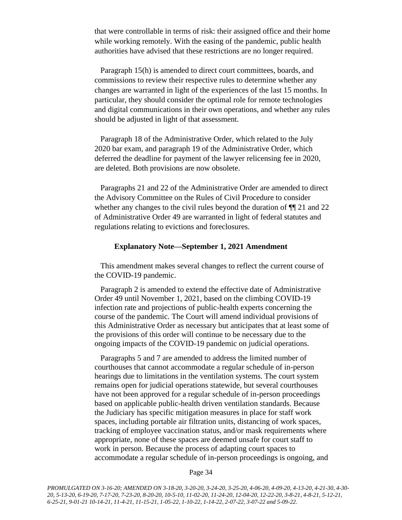that were controllable in terms of risk: their assigned office and their home while working remotely. With the easing of the pandemic, public health authorities have advised that these restrictions are no longer required.

Paragraph 15(h) is amended to direct court committees, boards, and commissions to review their respective rules to determine whether any changes are warranted in light of the experiences of the last 15 months. In particular, they should consider the optimal role for remote technologies and digital communications in their own operations, and whether any rules should be adjusted in light of that assessment.

Paragraph 18 of the Administrative Order, which related to the July 2020 bar exam, and paragraph 19 of the Administrative Order, which deferred the deadline for payment of the lawyer relicensing fee in 2020, are deleted. Both provisions are now obsolete.

Paragraphs 21 and 22 of the Administrative Order are amended to direct the Advisory Committee on the Rules of Civil Procedure to consider whether any changes to the civil rules beyond the duration of  $\P$ [1] 21 and 22 of Administrative Order 49 are warranted in light of federal statutes and regulations relating to evictions and foreclosures.

### **Explanatory Note—September 1, 2021 Amendment**

This amendment makes several changes to reflect the current course of the COVID-19 pandemic.

Paragraph 2 is amended to extend the effective date of Administrative Order 49 until November 1, 2021, based on the climbing COVID-19 infection rate and projections of public-health experts concerning the course of the pandemic. The Court will amend individual provisions of this Administrative Order as necessary but anticipates that at least some of the provisions of this order will continue to be necessary due to the ongoing impacts of the COVID-19 pandemic on judicial operations.

Paragraphs 5 and 7 are amended to address the limited number of courthouses that cannot accommodate a regular schedule of in-person hearings due to limitations in the ventilation systems. The court system remains open for judicial operations statewide, but several courthouses have not been approved for a regular schedule of in-person proceedings based on applicable public-health driven ventilation standards. Because the Judiciary has specific mitigation measures in place for staff work spaces, including portable air filtration units, distancing of work spaces, tracking of employee vaccination status, and/or mask requirements where appropriate, none of these spaces are deemed unsafe for court staff to work in person. Because the process of adapting court spaces to accommodate a regular schedule of in-person proceedings is ongoing, and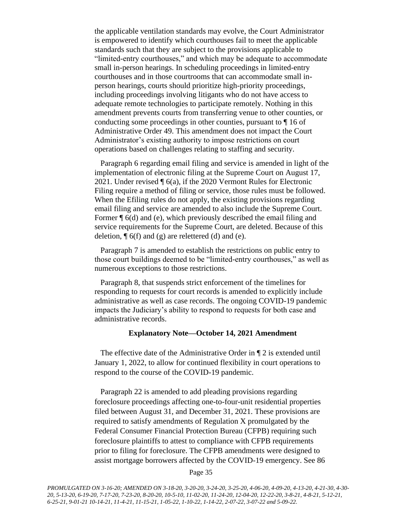the applicable ventilation standards may evolve, the Court Administrator is empowered to identify which courthouses fail to meet the applicable standards such that they are subject to the provisions applicable to "limited-entry courthouses," and which may be adequate to accommodate small in-person hearings. In scheduling proceedings in limited-entry courthouses and in those courtrooms that can accommodate small inperson hearings, courts should prioritize high-priority proceedings, including proceedings involving litigants who do not have access to adequate remote technologies to participate remotely. Nothing in this amendment prevents courts from transferring venue to other counties, or conducting some proceedings in other counties, pursuant to ¶ 16 of Administrative Order 49. This amendment does not impact the Court Administrator's existing authority to impose restrictions on court operations based on challenges relating to staffing and security.

Paragraph 6 regarding email filing and service is amended in light of the implementation of electronic filing at the Supreme Court on August 17, 2021. Under revised ¶ 6(a), if the 2020 Vermont Rules for Electronic Filing require a method of filing or service, those rules must be followed. When the Efiling rules do not apply, the existing provisions regarding email filing and service are amended to also include the Supreme Court. Former ¶ 6(d) and (e), which previously described the email filing and service requirements for the Supreme Court, are deleted. Because of this deletion,  $\P$  6(f) and (g) are relettered (d) and (e).

Paragraph 7 is amended to establish the restrictions on public entry to those court buildings deemed to be "limited-entry courthouses," as well as numerous exceptions to those restrictions.

Paragraph 8, that suspends strict enforcement of the timelines for responding to requests for court records is amended to explicitly include administrative as well as case records. The ongoing COVID-19 pandemic impacts the Judiciary's ability to respond to requests for both case and administrative records.

### **Explanatory Note—October 14, 2021 Amendment**

The effective date of the Administrative Order in  $\P$  2 is extended until January 1, 2022, to allow for continued flexibility in court operations to respond to the course of the COVID-19 pandemic.

Paragraph 22 is amended to add pleading provisions regarding foreclosure proceedings affecting one-to-four-unit residential properties filed between August 31, and December 31, 2021. These provisions are required to satisfy amendments of Regulation X promulgated by the Federal Consumer Financial Protection Bureau (CFPB) requiring such foreclosure plaintiffs to attest to compliance with CFPB requirements prior to filing for foreclosure. The CFPB amendments were designed to assist mortgage borrowers affected by the COVID-19 emergency. See 86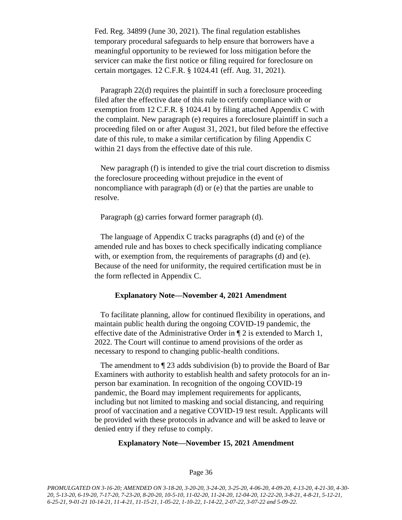Fed. Reg. 34899 (June 30, 2021). The final regulation establishes temporary procedural safeguards to help ensure that borrowers have a meaningful opportunity to be reviewed for loss mitigation before the servicer can make the first notice or filing required for foreclosure on certain mortgages. 12 C.F.R. § 1024.41 (eff. Aug. 31, 2021).

Paragraph 22(d) requires the plaintiff in such a foreclosure proceeding filed after the effective date of this rule to certify compliance with or exemption from 12 C.F.R. § 1024.41 by filing attached Appendix C with the complaint. New paragraph (e) requires a foreclosure plaintiff in such a proceeding filed on or after August 31, 2021, but filed before the effective date of this rule, to make a similar certification by filing Appendix C within 21 days from the effective date of this rule.

New paragraph (f) is intended to give the trial court discretion to dismiss the foreclosure proceeding without prejudice in the event of noncompliance with paragraph (d) or (e) that the parties are unable to resolve.

Paragraph (g) carries forward former paragraph (d).

The language of Appendix C tracks paragraphs (d) and (e) of the amended rule and has boxes to check specifically indicating compliance with, or exemption from, the requirements of paragraphs (d) and (e). Because of the need for uniformity, the required certification must be in the form reflected in Appendix C.

### **Explanatory Note—November 4, 2021 Amendment**

To facilitate planning, allow for continued flexibility in operations, and maintain public health during the ongoing COVID-19 pandemic, the effective date of the Administrative Order in ¶ 2 is extended to March 1, 2022. The Court will continue to amend provisions of the order as necessary to respond to changing public-health conditions.

The amendment to ¶ 23 adds subdivision (b) to provide the Board of Bar Examiners with authority to establish health and safety protocols for an inperson bar examination. In recognition of the ongoing COVID-19 pandemic, the Board may implement requirements for applicants, including but not limited to masking and social distancing, and requiring proof of vaccination and a negative COVID-19 test result. Applicants will be provided with these protocols in advance and will be asked to leave or denied entry if they refuse to comply.

#### **Explanatory Note—November 15, 2021 Amendment**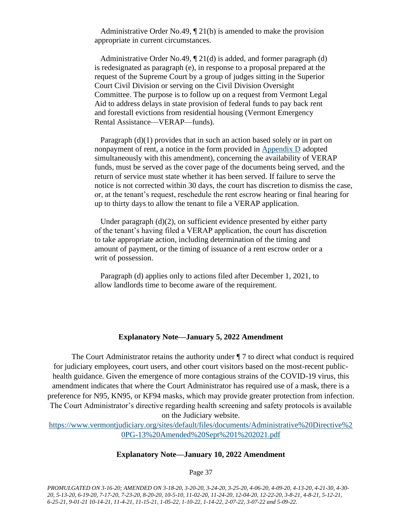Administrative Order No.49, ¶ 21(b) is amended to make the provision appropriate in current circumstances.

Administrative Order No.49, ¶ 21(d) is added, and former paragraph (d) is redesignated as paragraph (e), in response to a proposal prepared at the request of the Supreme Court by a group of judges sitting in the Superior Court Civil Division or serving on the Civil Division Oversight Committee. The purpose is to follow up on a request from Vermont Legal Aid to address delays in state provision of federal funds to pay back rent and forestall evictions from residential housing (Vermont Emergency Rental Assistance—VERAP—funds).

Paragraph (d)(1) provides that in such an action based solely or in part on nonpayment of rent, a notice in the form provided in [Appendix D](https://www.vermontjudiciary.org/sites/default/files/documents/Appendix-D-Important-Notice-to-Tenants_0.pdf) adopted simultaneously with this amendment), concerning the availability of VERAP funds, must be served as the cover page of the documents being served, and the return of service must state whether it has been served. If failure to serve the notice is not corrected within 30 days, the court has discretion to dismiss the case, or, at the tenant's request, reschedule the rent escrow hearing or final hearing for up to thirty days to allow the tenant to file a VERAP application.

Under paragraph (d)(2), on sufficient evidence presented by either party of the tenant's having filed a VERAP application, the court has discretion to take appropriate action, including determination of the timing and amount of payment, or the timing of issuance of a rent escrow order or a writ of possession.

Paragraph (d) applies only to actions filed after December 1, 2021, to allow landlords time to become aware of the requirement.

### **Explanatory Note—January 5, 2022 Amendment**

The Court Administrator retains the authority under ¶ 7 to direct what conduct is required for judiciary employees, court users, and other court visitors based on the most-recent publichealth guidance. Given the emergence of more contagious strains of the COVID-19 virus, this amendment indicates that where the Court Administrator has required use of a mask, there is a preference for N95, KN95, or KF94 masks, which may provide greater protection from infection. The Court Administrator's directive regarding health screening and safety protocols is available on the Judiciary website.

[https://www.vermontjudiciary.org/sites/default/files/documents/Administrative%20Directive%2](https://www.vermontjudiciary.org/sites/default/files/documents/Administrative%20Directive%20PG-13%20Amended%20Sept%201%202021.pdf) [0PG-13%20Amended%20Sept%201%202021.pdf](https://www.vermontjudiciary.org/sites/default/files/documents/Administrative%20Directive%20PG-13%20Amended%20Sept%201%202021.pdf)

#### **Explanatory Note—January 10, 2022 Amendment**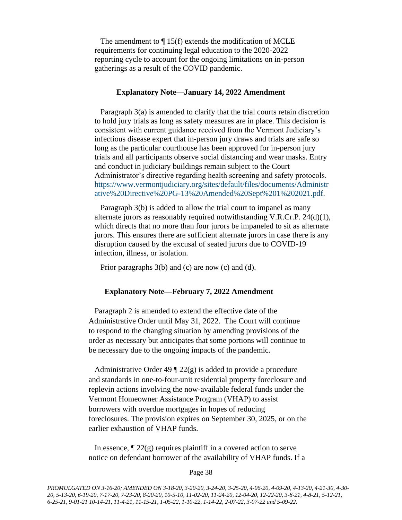The amendment to  $\P$  15(f) extends the modification of MCLE requirements for continuing legal education to the 2020-2022 reporting cycle to account for the ongoing limitations on in-person gatherings as a result of the COVID pandemic.

### **Explanatory Note—January 14, 2022 Amendment**

Paragraph 3(a) is amended to clarify that the trial courts retain discretion to hold jury trials as long as safety measures are in place. This decision is consistent with current guidance received from the Vermont Judiciary's infectious disease expert that in-person jury draws and trials are safe so long as the particular courthouse has been approved for in-person jury trials and all participants observe social distancing and wear masks. Entry and conduct in judiciary buildings remain subject to the Court Administrator's directive regarding health screening and safety protocols. [https://www.vermontjudiciary.org/sites/default/files/documents/Administr](https://www.vermontjudiciary.org/sites/default/files/documents/Administrative%20Directive%20PG-13%20Amended%20Sept%201%202021.pdf) [ative%20Directive%20PG-13%20Amended%20Sept%201%202021.pdf.](https://www.vermontjudiciary.org/sites/default/files/documents/Administrative%20Directive%20PG-13%20Amended%20Sept%201%202021.pdf)

Paragraph 3(b) is added to allow the trial court to impanel as many alternate jurors as reasonably required notwithstanding V.R.Cr.P. 24(d)(1), which directs that no more than four jurors be impaneled to sit as alternate jurors. This ensures there are sufficient alternate jurors in case there is any disruption caused by the excusal of seated jurors due to COVID-19 infection, illness, or isolation.

Prior paragraphs 3(b) and (c) are now (c) and (d).

#### **Explanatory Note—February 7, 2022 Amendment**

Paragraph 2 is amended to extend the effective date of the Administrative Order until May 31, 2022. The Court will continue to respond to the changing situation by amending provisions of the order as necessary but anticipates that some portions will continue to be necessary due to the ongoing impacts of the pandemic.

Administrative Order 49  $\sqrt{22(g)}$  is added to provide a procedure and standards in one-to-four-unit residential property foreclosure and replevin actions involving the now-available federal funds under the Vermont Homeowner Assistance Program (VHAP) to assist borrowers with overdue mortgages in hopes of reducing foreclosures. The provision expires on September 30, 2025, or on the earlier exhaustion of VHAP funds.

In essence,  $\sqrt{22}$  22(g) requires plaintiff in a covered action to serve notice on defendant borrower of the availability of VHAP funds. If a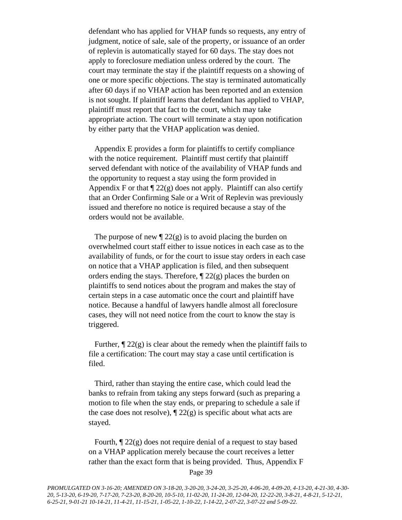defendant who has applied for VHAP funds so requests, any entry of judgment, notice of sale, sale of the property, or issuance of an order of replevin is automatically stayed for 60 days. The stay does not apply to foreclosure mediation unless ordered by the court. The court may terminate the stay if the plaintiff requests on a showing of one or more specific objections. The stay is terminated automatically after 60 days if no VHAP action has been reported and an extension is not sought. If plaintiff learns that defendant has applied to VHAP, plaintiff must report that fact to the court, which may take appropriate action. The court will terminate a stay upon notification by either party that the VHAP application was denied.

Appendix E provides a form for plaintiffs to certify compliance with the notice requirement. Plaintiff must certify that plaintiff served defendant with notice of the availability of VHAP funds and the opportunity to request a stay using the form provided in Appendix F or that  $\P$  22(g) does not apply. Plaintiff can also certify that an Order Confirming Sale or a Writ of Replevin was previously issued and therefore no notice is required because a stay of the orders would not be available.

The purpose of new  $\sqrt{\frac{22(g)}{g}}$  is to avoid placing the burden on overwhelmed court staff either to issue notices in each case as to the availability of funds, or for the court to issue stay orders in each case on notice that a VHAP application is filed, and then subsequent orders ending the stays. Therefore,  $\parallel$  22(g) places the burden on plaintiffs to send notices about the program and makes the stay of certain steps in a case automatic once the court and plaintiff have notice. Because a handful of lawyers handle almost all foreclosure cases, they will not need notice from the court to know the stay is triggered.

Further,  $\P$  22(g) is clear about the remedy when the plaintiff fails to file a certification: The court may stay a case until certification is filed.

Third, rather than staying the entire case, which could lead the banks to refrain from taking any steps forward (such as preparing a motion to file when the stay ends, or preparing to schedule a sale if the case does not resolve),  $\P$  22(g) is specific about what acts are stayed.

Fourth,  $\mathcal{P}$  22(g) does not require denial of a request to stay based on a VHAP application merely because the court receives a letter rather than the exact form that is being provided. Thus, Appendix F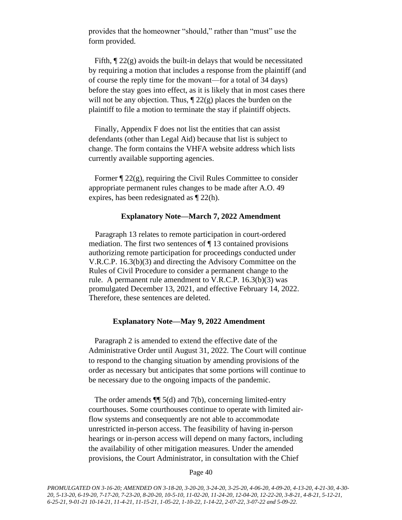provides that the homeowner "should," rather than "must" use the form provided.

Fifth,  $\mathcal{P}$  22(g) avoids the built-in delays that would be necessitated by requiring a motion that includes a response from the plaintiff (and of course the reply time for the movant—for a total of 34 days) before the stay goes into effect, as it is likely that in most cases there will not be any objection. Thus,  $\P$  22(g) places the burden on the plaintiff to file a motion to terminate the stay if plaintiff objects.

Finally, Appendix F does not list the entities that can assist defendants (other than Legal Aid) because that list is subject to change. The form contains the VHFA website address which lists currently available supporting agencies.

Former  $\P$  22(g), requiring the Civil Rules Committee to consider appropriate permanent rules changes to be made after A.O. 49 expires, has been redesignated as ¶ 22(h).

### **Explanatory Note—March 7, 2022 Amendment**

Paragraph 13 relates to remote participation in court-ordered mediation. The first two sentences of ¶ 13 contained provisions authorizing remote participation for proceedings conducted under V.R.C.P. 16.3(b)(3) and directing the Advisory Committee on the Rules of Civil Procedure to consider a permanent change to the rule. A permanent rule amendment to V.R.C.P. 16.3(b)(3) was promulgated December 13, 2021, and effective February 14, 2022. Therefore, these sentences are deleted.

### **Explanatory Note—May 9, 2022 Amendment**

Paragraph 2 is amended to extend the effective date of the Administrative Order until August 31, 2022. The Court will continue to respond to the changing situation by amending provisions of the order as necessary but anticipates that some portions will continue to be necessary due to the ongoing impacts of the pandemic.

The order amends  $\P$  5(d) and 7(b), concerning limited-entry courthouses. Some courthouses continue to operate with limited airflow systems and consequently are not able to accommodate unrestricted in-person access. The feasibility of having in-person hearings or in-person access will depend on many factors, including the availability of other mitigation measures. Under the amended provisions, the Court Administrator, in consultation with the Chief